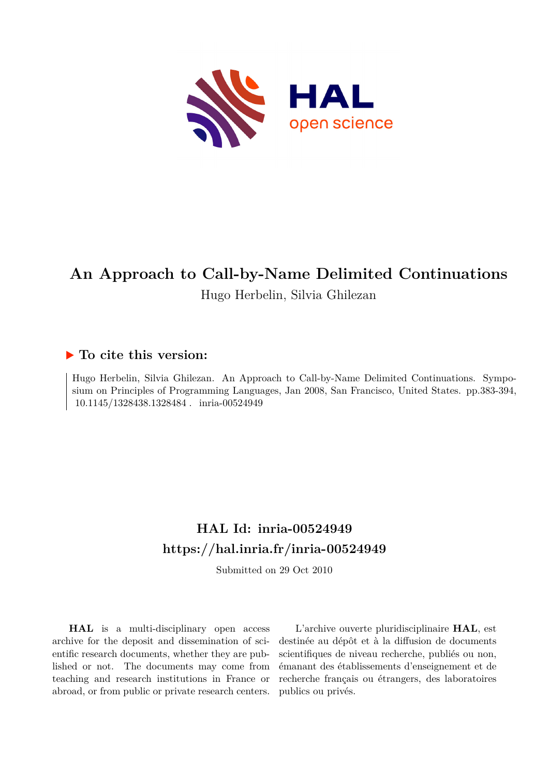

# **An Approach to Call-by-Name Delimited Continuations** Hugo Herbelin, Silvia Ghilezan

## **To cite this version:**

Hugo Herbelin, Silvia Ghilezan. An Approach to Call-by-Name Delimited Continuations. Symposium on Principles of Programming Languages, Jan 2008, San Francisco, United States. pp.383-394, 10.1145/1328438.1328484 . inria-00524949

# **HAL Id: inria-00524949 <https://hal.inria.fr/inria-00524949>**

Submitted on 29 Oct 2010

**HAL** is a multi-disciplinary open access archive for the deposit and dissemination of scientific research documents, whether they are published or not. The documents may come from teaching and research institutions in France or abroad, or from public or private research centers.

L'archive ouverte pluridisciplinaire **HAL**, est destinée au dépôt et à la diffusion de documents scientifiques de niveau recherche, publiés ou non, émanant des établissements d'enseignement et de recherche français ou étrangers, des laboratoires publics ou privés.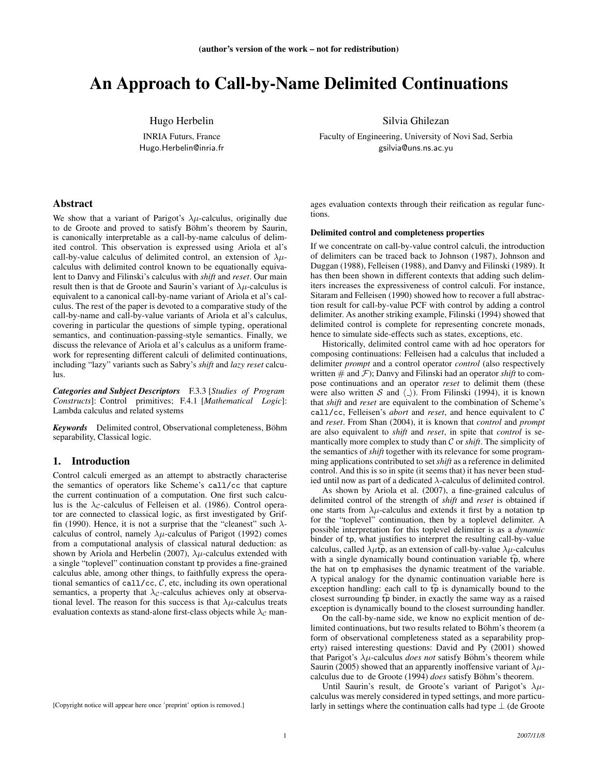## An Approach to Call-by-Name Delimited Continuations

Hugo Herbelin

INRIA Futurs, France Hugo.Herbelin@inria.fr

## Abstract

We show that a variant of Parigot's  $\lambda \mu$ -calculus, originally due to de Groote and proved to satisfy Böhm's theorem by Saurin, is canonically interpretable as a call-by-name calculus of delimited control. This observation is expressed using Ariola et al's call-by-value calculus of delimited control, an extension of  $\lambda \mu$ calculus with delimited control known to be equationally equivalent to Danvy and Filinski's calculus with *shift* and *reset*. Our main result then is that de Groote and Saurin's variant of  $\lambda \mu$ -calculus is equivalent to a canonical call-by-name variant of Ariola et al's calculus. The rest of the paper is devoted to a comparative study of the call-by-name and call-by-value variants of Ariola et al's calculus, covering in particular the questions of simple typing, operational semantics, and continuation-passing-style semantics. Finally, we discuss the relevance of Ariola et al's calculus as a uniform framework for representing different calculi of delimited continuations, including "lazy" variants such as Sabry's *shift* and *lazy reset* calculus.

*Categories and Subject Descriptors* F.3.3 [*Studies of Program Constructs*]: Control primitives; F.4.1 [*Mathematical Logic*]: Lambda calculus and related systems

*Keywords* Delimited control, Observational completeness, Bohm¨ separability, Classical logic.

## 1. Introduction

Control calculi emerged as an attempt to abstractly characterise the semantics of operators like Scheme's call/cc that capture the current continuation of a computation. One first such calculus is the  $\lambda_c$ -calculus of Felleisen et al. (1986). Control operator are connected to classical logic, as first investigated by Griffin (1990). Hence, it is not a surprise that the "cleanest" such  $\lambda$ calculus of control, namely  $\lambda \mu$ -calculus of Parigot (1992) comes from a computational analysis of classical natural deduction: as shown by Ariola and Herbelin (2007),  $\lambda \mu$ -calculus extended with a single "toplevel" continuation constant tp provides a fine-grained calculus able, among other things, to faithfully express the operational semantics of call/cc,  $C$ , etc, including its own operational semantics, a property that  $\lambda_c$ -calculus achieves only at observational level. The reason for this success is that  $\lambda \mu$ -calculus treats evaluation contexts as stand-alone first-class objects while  $\lambda_c$  man-

[Copyright notice will appear here once 'preprint' option is removed.]

Silvia Ghilezan

Faculty of Engineering, University of Novi Sad, Serbia gsilvia@uns.ns.ac.yu

ages evaluation contexts through their reification as regular functions.

### Delimited control and completeness properties

If we concentrate on call-by-value control calculi, the introduction of delimiters can be traced back to Johnson (1987), Johnson and Duggan (1988), Felleisen (1988), and Danvy and Filinski (1989). It has then been shown in different contexts that adding such delimiters increases the expressiveness of control calculi. For instance, Sitaram and Felleisen (1990) showed how to recover a full abstraction result for call-by-value PCF with control by adding a control delimiter. As another striking example, Filinski (1994) showed that delimited control is complete for representing concrete monads, hence to simulate side-effects such as states, exceptions, etc.

Historically, delimited control came with ad hoc operators for composing continuations: Felleisen had a calculus that included a delimiter *prompt* and a control operator *control* (also respectively written  $#$  and  $F$ ); Danvy and Filinski had an operator *shift* to compose continuations and an operator *reset* to delimit them (these were also written S and  $\langle \_ \rangle$ ). From Filinski (1994), it is known that *shift* and *reset* are equivalent to the combination of Scheme's call/cc, Felleisen's *abort* and *reset*, and hence equivalent to C and *reset*. From Shan (2004), it is known that *control* and *prompt* are also equivalent to *shift* and *reset*, in spite that *control* is semantically more complex to study than C or *shift*. The simplicity of the semantics of *shift* together with its relevance for some programming applications contributed to set *shift* as a reference in delimited control. And this is so in spite (it seems that) it has never been studied until now as part of a dedicated  $\lambda$ -calculus of delimited control.

As shown by Ariola et al. (2007), a fine-grained calculus of delimited control of the strength of *shift* and *reset* is obtained if one starts from  $\lambda \mu$ -calculus and extends it first by a notation tp for the "toplevel" continuation, then by a toplevel delimiter. A possible interpretation for this toplevel delimiter is as a *dynamic* binder of tp, what justifies to interpret the resulting call-by-value calculus, called  $\lambda \mu \widehat{\mathbf{p}}$ , as an extension of call-by-value  $\lambda \mu$ -calculus with a single dynamically bound continuation variable  $\widehat{tp}$ , where the hat on tp emphasises the dynamic treatment of the variable. A typical analogy for the dynamic continuation variable here is exception handling: each call to  $\widehat{tp}$  is dynamically bound to the closest surrounding  $\widehat{\mathfrak{p}}$  binder, in exactly the same way as a raised exception is dynamically bound to the closest surrounding handler.

On the call-by-name side, we know no explicit mention of delimited continuations, but two results related to Böhm's theorem (a form of observational completeness stated as a separability property) raised interesting questions: David and Py (2001) showed that Parigot's  $\lambda \mu$ -calculus *does not* satisfy Böhm's theorem while Saurin (2005) showed that an apparently inoffensive variant of  $\lambda \mu$ calculus due to de Groote (1994) *does* satisfy Böhm's theorem.

Until Saurin's result, de Groote's variant of Parigot's  $\lambda \mu$ calculus was merely considered in typed settings, and more particularly in settings where the continuation calls had type  $\perp$  (de Groote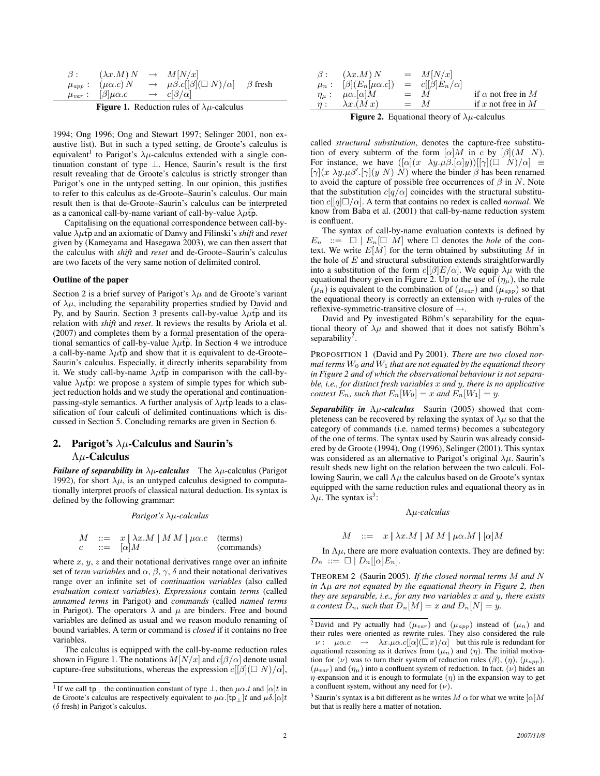| $\beta$ : | $(\lambda x.M)N$                | $\rightarrow$ $M[N/x]$                                         |  |
|-----------|---------------------------------|----------------------------------------------------------------|--|
|           | $\mu_{app}: (\mu \alpha.c) N$   | $\rightarrow \mu\beta.c[[\beta](\Box N)/\alpha]$ $\beta$ fresh |  |
|           | $\mu_{var}: [\beta]\mu\alpha.c$ | $\rightarrow c[\beta/\alpha]$                                  |  |
|           |                                 |                                                                |  |

**Figure 1.** Reduction rules of  $\lambda \mu$ -calculus

1994; Ong 1996; Ong and Stewart 1997; Selinger 2001, non exaustive list). But in such a typed setting, de Groote's calculus is equivalent<sup>1</sup> to Parigot's  $\lambda \mu$ -calculus extended with a single continuation constant of type ⊥. Hence, Saurin's result is the first result revealing that de Groote's calculus is strictly stronger than Parigot's one in the untyped setting. In our opinion, this justifies to refer to this calculus as de-Groote–Saurin's calculus. Our main result then is that de-Groote–Saurin's calculus can be interpreted as a canonical call-by-name variant of call-by-value  $\lambda \mu \hat{t}$ .

Capitalising on the equational correspondence between call-byvalue  $\lambda \mu \hat{\mathbf{p}}$  and an axiomatic of Danvy and Filinski's *shift* and *reset* given by (Kameyama and Hasegawa 2003), we can then assert that the calculus with *shift* and *reset* and de-Groote–Saurin's calculus are two facets of the very same notion of delimited control.

## Outline of the paper

Section 2 is a brief survey of Parigot's  $\lambda \mu$  and de Groote's variant of  $\lambda \mu$ , including the separability properties studied by David and Py, and by Saurin. Section 3 presents call-by-value  $\lambda \mu \hat{t} \hat{p}$  and its relation with *shift* and *reset*. It reviews the results by Ariola et al. (2007) and completes them by a formal presentation of the operational semantics of call-by-value  $\lambda \mu \hat{t}$  . In Section 4 we introduce a call-by-name  $\lambda \mu \hat{t} \hat{p}$  and show that it is equivalent to de-Groote– Saurin's calculus. Especially, it directly inherits separability from it. We study call-by-name  $\lambda \mu \hat{t} \hat{p}$  in comparison with the call-byvalue  $\lambda \mu \hat{\mathbf{p}}$ : we propose a system of simple types for which subject reduction holds and we study the operational and continuationpassing-style semantics. A further analysis of  $\lambda \mu \hat{t} \hat{p}$  leads to a classification of four calculi of delimited continuations which is discussed in Section 5. Concluding remarks are given in Section 6.

## 2. Parigot's  $\lambda\mu$ -Calculus and Saurin's  $\Lambda \mu$ -Calculus

*Failure of separability in*  $\lambda \mu$ -calculus The  $\lambda \mu$ -calculus (Parigot 1992), for short  $\lambda \mu$ , is an untyped calculus designed to computationally interpret proofs of classical natural deduction. Its syntax is defined by the following grammar:

*Parigot's* λµ*-calculus*

$$
M := x | \lambda x.M | M M | \mu \alpha.c \quad \text{(terms)}
$$
  

$$
c := [\alpha]M \quad \text{(commands)}
$$

where  $x, y, z$  and their notational derivatives range over an infinite set of *term variables* and  $\alpha$ ,  $\beta$ ,  $\gamma$ ,  $\delta$  and their notational derivatives range over an infinite set of *continuation variables* (also called *evaluation context variables*). *Expressions* contain *terms* (called *unnamed terms* in Parigot) and *commands* (called *named terms* in Parigot). The operators  $\lambda$  and  $\mu$  are binders. Free and bound variables are defined as usual and we reason modulo renaming of bound variables. A term or command is *closed* if it contains no free variables.

The calculus is equipped with the call-by-name reduction rules shown in Figure 1. The notations  $M[N/x]$  and  $c[\beta/\alpha]$  denote usual capture-free substitutions, whereas the expression  $c[[\beta](\Box N)/\alpha]$ ,

|          | $\beta: (\lambda x.M)N$             |       | $= M[N/x]$               |                           |
|----------|-------------------------------------|-------|--------------------------|---------------------------|
|          | $\mu_n: [\beta](E_n[\mu \alpha.c])$ |       | $= c[[\beta]E_n/\alpha]$ |                           |
|          | $\eta_\mu: \mu \alpha. [\alpha] M$  |       | $=$ M                    | if $\alpha$ not free in M |
| $\eta$ : | $\lambda x.(Mx)$                    | $=$ M |                          | if x not free in $M$      |
|          |                                     |       |                          |                           |

**Figure 2.** Equational theory of  $\lambda \mu$ -calculus

called *structural substitution*, denotes the capture-free substitution of every subterm of the form  $\lbrack \alpha \rbrack M$  in c by  $\lbrack \beta \rbrack (M \; N)$ . For instance, we have  $([\alpha](x \lambda y.\mu \beta.[\alpha]y))[[\gamma](\Box N)/\alpha] \equiv$  $[\gamma](x \lambda y.\mu\beta'.[\gamma](y \ N) \ N)$  where the binder  $\beta$  has been renamed to avoid the capture of possible free occurrences of  $\beta$  in N. Note that the substitution  $c[q/\alpha]$  coincides with the structural substitution  $c[[q]\Box/\alpha]$ . A term that contains no redex is called *normal*. We know from Baba et al. (2001) that call-by-name reduction system is confluent.

The syntax of call-by-name evaluation contexts is defined by  $E_n$  ::=  $\Box \mid E_n[\Box \ M]$  where  $\Box$  denotes the *hole* of the context. We write  $E[M]$  for the term obtained by substituting M in the hole of  $E$  and structural substitution extends straightforwardly into a substitution of the form  $c[[\beta]E/\alpha]$ . We equip  $\lambda\mu$  with the equational theory given in Figure 2. Up to the use of  $(\eta_{\mu})$ , the rule  $(\mu_n)$  is equivalent to the combination of  $(\mu_{var})$  and  $(\mu_{app})$  so that the equational theory is correctly an extension with  $\eta$ -rules of the reflexive-symmetric-transitive closure of  $\rightarrow$ .

David and Py investigated Böhm's separability for the equational theory of  $\lambda \mu$  and showed that it does not satisfy Böhm's separability<sup>2</sup>.

PROPOSITION 1 (David and Py 2001). *There are two closed normal terms*  $W_0$  *and*  $W_1$  *that are not equated by the equational theory in Figure 2 and of which the observational behaviour is not separable, i.e., for distinct fresh variables* x *and* y*, there is no applicative context*  $E_n$ *, such that*  $E_n[W_0] = x$  *and*  $E_n[W_1] = y$ *.* 

*Separability in* Λµ*-calculus* Saurin (2005) showed that completeness can be recovered by relaxing the syntax of  $\lambda \mu$  so that the category of commands (i.e. named terms) becomes a subcategory of the one of terms. The syntax used by Saurin was already considered by de Groote (1994), Ong (1996), Selinger (2001). This syntax was considered as an alternative to Parigot's original  $\lambda \mu$ . Saurin's result sheds new light on the relation between the two calculi. Following Saurin, we call  $\Lambda \mu$  the calculus based on de Groote's syntax equipped with the same reduction rules and equational theory as in  $\lambda \mu$ . The syntax is<sup>3</sup>:

#### Λµ*-calculus*

$$
M \ ::= \ x \mid \lambda x.M \mid M M \mid \mu \alpha.M \mid [\alpha]M
$$

In  $\Lambda \mu$ , there are more evaluation contexts. They are defined by:  $D_n := \Box | D_n | [\alpha] E_n].$ 

THEOREM 2 (Saurin 2005). *If the closed normal terms* M *and* N *in* Λµ *are not equated by the equational theory in Figure 2, then they are separable, i.e., for any two variables* x *and* y*, there exists a context*  $D_n$ *, such that*  $D_n[M] = x$  *and*  $D_n[N] = y$ *.* 

<sup>&</sup>lt;sup>1</sup> If we call tp<sub>⊥</sub> the continuation constant of type  $\bot$ , then  $\mu \alpha.t$  and  $[\alpha]t$  in de Groote's calculus are respectively equivalent to  $\mu\alpha$ .[tp<sub>⊥</sub>]t and  $\mu\delta$ .[ $\alpha$ ]t (δ fresh) in Parigot's calculus.

<sup>&</sup>lt;sup>2</sup> David and Py actually had  $(\mu_{var})$  and  $(\mu_{app})$  instead of  $(\mu_n)$  and their rules were oriented as rewrite rules. They also considered the rule  $\nu: \mu\alpha.c \rightarrow \lambda x.\mu\alpha.c[[\alpha](\Box x)/\alpha]$  but this rule is redundant for equational reasoning as it derives from  $(\mu_n)$  and  $(\eta)$ . The initial motivation for (ν) was to turn their system of reduction rules ( $\beta$ ), ( $\eta$ ), ( $\mu_{app}$ ),  $(\mu_{var})$  and  $(\eta_{\mu})$  into a confluent system of reduction. In fact,  $(\nu)$  hides an  $\eta$ -expansion and it is enough to formulate  $(\eta)$  in the expansion way to get a confluent system, without any need for  $(\nu)$ .

<sup>&</sup>lt;sup>3</sup> Saurin's syntax is a bit different as he writes  $M \alpha$  for what we write  $\alpha M$ but that is really here a matter of notation.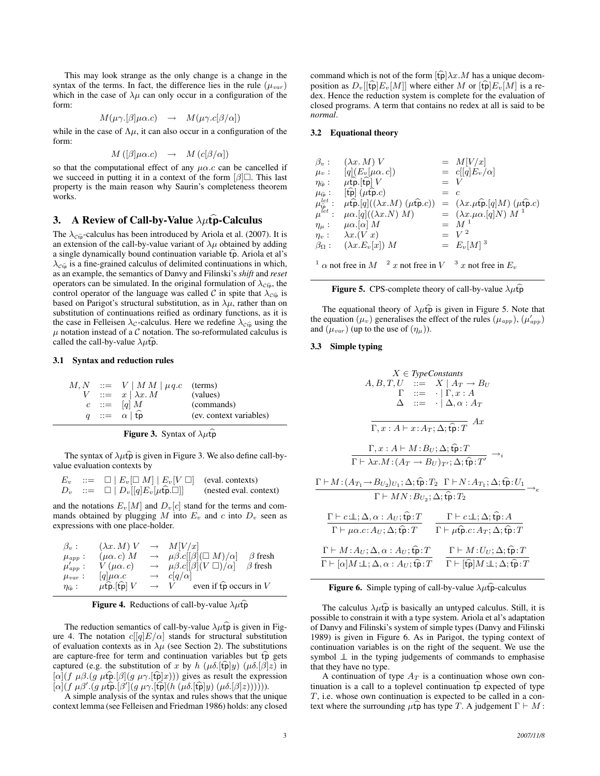This may look strange as the only change is a change in the syntax of the terms. In fact, the difference lies in the rule  $(\mu_{var})$ which in the case of  $\lambda \mu$  can only occur in a configuration of the form:

$$
M(\mu \gamma. [\beta] \mu \alpha.c) \rightarrow M(\mu \gamma. c[\beta/\alpha])
$$

while in the case of  $\Lambda \mu$ , it can also occur in a configuration of the form:

$$
M([\beta]\mu\alpha.c) \rightarrow M(c[\beta/\alpha])
$$

so that the computational effect of any  $\mu\alpha$ .c can be cancelled if we succeed in putting it in a context of the form  $\lbrack \beta \rbrack$ . This last property is the main reason why Saurin's completeness theorem works.

## 3. A Review of Call-by-Value  $\lambda \mu \hat{\mathbf{p}}$ -Calculus

The  $\lambda_{\text{C}\hat{\mathfrak{v}}}$ -calculus has been introduced by Ariola et al. (2007). It is an extension of the call-by-value variant of  $\lambda \mu$  obtained by adding a single dynamically bound continuation variable  $\widehat{\text{tp}}$ . Ariola et al's  $\lambda_{\text{Cfp}}$  is a fine-grained calculus of delimited continuations in which, as an example, the semantics of Danvy and Filinski's *shift* and *reset* operators can be simulated. In the original formulation of  $\lambda_{\text{C}_v}$ , the control operator of the language was called C in spite that  $\lambda_{\text{C}_v}$  is based on Parigot's structural substitution, as in  $\lambda \mu$ , rather than on substitution of continuations reified as ordinary functions, as it is the case in Felleisen  $\lambda_c$ -calculus. Here we redefine  $\lambda_{c\hat{\tau}}$  using the  $\mu$  notation instead of a C notation. The so-reformulated calculus is called the call-by-value  $\lambda \mu \hat{t} \hat{p}$ .

## 3.1 Syntax and reduction rules

|  | $M, N$ ::= $V \mid M M \mid \mu q.c$ (terms) |                         |
|--|----------------------------------------------|-------------------------|
|  | $V$ ::= $x   \lambda x. M$                   | (values)                |
|  | $c \ ::= \ [q] \ M$                          | (commands)              |
|  | $q ::= \alpha   \hat{tp}$                    | (ev. context variables) |

#### **Figure 3.** Syntax of  $\lambda \mu \widehat{\mathbf{p}}$

The syntax of  $\lambda \mu \hat{\mathbf{p}}$  is given in Figure 3. We also define call-byvalue evaluation contexts by

$$
E_v ::= \Box | E_v [\Box M] | E_v [V \Box]
$$
 (eval. contexts)  

$$
D_v ::= \Box | D_v [[q] E_v [\mu \hat{\mathbf{p}} . \Box]]
$$
 (nested eval. context)

and the notations  $E_v[M]$  and  $D_v[c]$  stand for the terms and commands obtained by plugging  $M$  into  $E_v$  and  $c$  into  $D_v$  seen as expressions with one place-holder.

| $\beta_v$ :                       | $(\lambda x. M)$ V  | $\longrightarrow$ | M[V/x]                                                             |
|-----------------------------------|---------------------|-------------------|--------------------------------------------------------------------|
| $\mu_{app}$ :                     | $(\mu \alpha. c) M$ | $\longrightarrow$ | $\mu\beta.c[[\beta](\Box M)/\alpha]$<br>$\beta$ fresh              |
| $\mu_{app}$ :                     | $V(\mu\alpha.c)$    |                   | $\rightarrow$ $\mu\beta.c[[\beta](V\Box)/\alpha]$<br>$\beta$ fresh |
| $\mu_{var}$ :                     | $ q \mu\alpha.c$    | $\longrightarrow$ | $c q/\alpha $                                                      |
| $\eta_{\widehat{\mathfrak{p}}}$ : | $\mu$ fp.[fp] $V$   |                   | even if $\widehat{\mathfrak{tp}}$ occurs in V<br>$\rightarrow$ V   |

| <b>Figure 4.</b> Reductions of call-by-value $\lambda \mu \hat{\mathbf{p}}$ |  |  |
|-----------------------------------------------------------------------------|--|--|
|                                                                             |  |  |

The reduction semantics of call-by-value  $\lambda \mu \hat{p}$  is given in Figure 4. The notation  $c[[q]E/\alpha]$  stands for structural substitution of evaluation contexts as in  $\lambda \mu$  (see Section 2). The substitutions are capture-free for term and continuation variables but  $\hat{tp}$  gets captured (e.g. the substitution of x by h  $(\mu \delta.[\mathfrak{t}]y)$   $(\mu \delta.[\beta]z)$  in  $[\alpha](f \mu \beta. (g \mu \hat{\tau} \hat{\rho}](g \mu \gamma. [\hat{\tau} \hat{\rho}]x)))$  gives as result the expression  $[\alpha](f \mu \beta'.(g \mu \hat{\mathbf{p}}.[\beta'](g \mu \gamma.[\hat{\mathbf{t}}\hat{\mathbf{p}}](h'(\mu \delta.[\hat{\mathbf{t}}\hat{\mathbf{p}}]y) (\mu \delta.[\beta]z))))).$ 

A simple analysis of the syntax and rules shows that the unique context lemma (see Felleisen and Friedman 1986) holds: any closed command which is not of the form  $[\widehat{\text{tp}}] \lambda x.M$  has a unique decomposition as  $D_v[[\hat{t} \hat{\rho}] E_v[M]]$  where either M or  $[\hat{t} \hat{\rho}] E_v[M]$  is a redex. Hence the reduction system is complete for the evaluation of closed programs. A term that contains no redex at all is said to be *normal*.

## 3.2 Equational theory

| $\beta_v$ :                                            | $(\lambda x. M)$ V                                                                        |       | $= M[V/x]$                                                                            |
|--------------------------------------------------------|-------------------------------------------------------------------------------------------|-------|---------------------------------------------------------------------------------------|
| $\mu_v$ :                                              | $[q](E_v[\mu \alpha, c])$                                                                 |       | $= c[[q]E_v/\alpha]$                                                                  |
| $\eta_{\widehat{\mathfrak{p}}}$ :                      | $\mu$ tp.[tp] $V$                                                                         | $= V$ |                                                                                       |
| $\mu_{\widehat{\text{tp}}}$ :                          | $[\widehat{\mathfrak{tp}}](\mu \widehat{\mathfrak{tp}}.c)$                                | $=$ c |                                                                                       |
| $\mu_{\widehat{\mathrm{tp}}}^{let}$ :<br>$\mu^{let}$ : | $\mu \widehat{\mathfrak{tp}}$ . [q]( $(\lambda x.M)$ ( $\mu \widehat{\mathfrak{tp}}.c$ )) |       | $= (\lambda x . \mu \widehat{\mathfrak{tp}}. [q] M) (\mu \widehat{\mathfrak{tp}}. c)$ |
|                                                        | $\mu\alpha$ .[q](( $\lambda x.N$ ) M)                                                     |       | $= (\lambda x.\mu\alpha.[q]N) M^1$                                                    |
| $\eta_{\mu}$ :                                         | $\mu\alpha$ . [ $\alpha$ ] M                                                              |       | $=$ $M^1$                                                                             |
|                                                        | $\eta_v: \quad \lambda x. (V x)$                                                          |       | $=$ $V^2$                                                                             |
|                                                        | $\beta_{\Omega}$ : $(\lambda x.E_{v}[x])$ M                                               |       | $= E_v[M]^3$                                                                          |
|                                                        |                                                                                           |       |                                                                                       |
|                                                        | $^{-1}$ $\alpha$ not free in $M$ $^{-2}$ x not free in $V$ $^{-3}$ x not free in $E_v$    |       |                                                                                       |

#### **Figure 5.** CPS-complete theory of call-by-value  $\lambda \mu \hat{t}$

The equational theory of  $\lambda \mu \hat{p}$  is given in Figure 5. Note that the equation  $(\mu_v)$  generalises the effect of the rules  $(\mu_{app})$ ,  $(\mu_{app}')$ and  $(\mu_{var})$  (up to the use of  $(\eta_{\mu})$ ).

## 3.3 Simple typing

$$
X \in \text{TypeConstraints}
$$
\n
$$
A, B, T, U ::= X | A_T \rightarrow B_U
$$
\n
$$
\Gamma ::= \cdot | \Gamma, x : A
$$
\n
$$
\Delta ::= \cdot | \Delta, \alpha : A_T
$$
\n
$$
\Gamma, x : A \vdash x : A_T; \Delta; \hat{\mathfrak{tp}} : T \quad Ax
$$
\n
$$
\frac{\Gamma, x : A \vdash M : B_U; \Delta; \hat{\mathfrak{tp}} : T}{\Gamma \vdash \lambda x . M : (A_T \rightarrow B_U)_{T'}; \Delta; \hat{\mathfrak{tp}} : T' \rightarrow i}
$$
\n
$$
\frac{\Gamma \vdash M : (A_{T_1} \rightarrow B_{U_2})_{U_1}; \Delta; \hat{\mathfrak{tp}} : T_2 \quad \Gamma \vdash N : A_{T_1}; \Delta; \hat{\mathfrak{tp}} : U_1}{\Gamma \vdash MN : B_{U_2}; \Delta; \hat{\mathfrak{tp}} : T_2}
$$
\n
$$
\frac{\Gamma \vdash c : \bot : \Delta, \alpha : A_U; \hat{\mathfrak{tp}} : T}{\Gamma \vdash \mu \alpha . c : A_U; \Delta; \hat{\mathfrak{tp}} : T} \quad \frac{\Gamma \vdash c : \bot : \Delta; \hat{\mathfrak{tp}} : A}{\Gamma \vdash \mu \hat{\mathfrak{tp}} : C \vdash T} \quad \frac{\Gamma \vdash M : U_U; \Delta; \hat{\mathfrak{tp}} : T}{\Gamma \vdash [\hat{\mathfrak{ep}}] M : \bot : \Delta, \alpha : A_U; \hat{\mathfrak{tp}} : T} \quad \frac{\Gamma \vdash M : U_U; \Delta; \hat{\mathfrak{tp}} : T}{\Gamma \vdash [\hat{\mathfrak{tp}}] M : \bot : \Delta; \hat{\mathfrak{tp}} : T}
$$

## Figure 6. Simple typing of call-by-value  $\lambda \mu \hat{t}$  -calculus

The calculus  $\lambda \mu \hat{p}$  is basically an untyped calculus. Still, it is possible to constrain it with a type system. Ariola et al's adaptation of Danvy and Filinski's system of simple types (Danvy and Filinski 1989) is given in Figure 6. As in Parigot, the typing context of continuation variables is on the right of the sequent. We use the symbol ⊥ in the typing judgements of commands to emphasise that they have no type.

A continuation of type  $A_T$  is a continuation whose own continuation is a call to a toplevel continuation  $\widehat{tp}$  expected of type T, i.e. whose own continuation is expected to be called in a context where the surrounding  $\mu$ tp has type T. A judgement  $\Gamma \vdash M$ :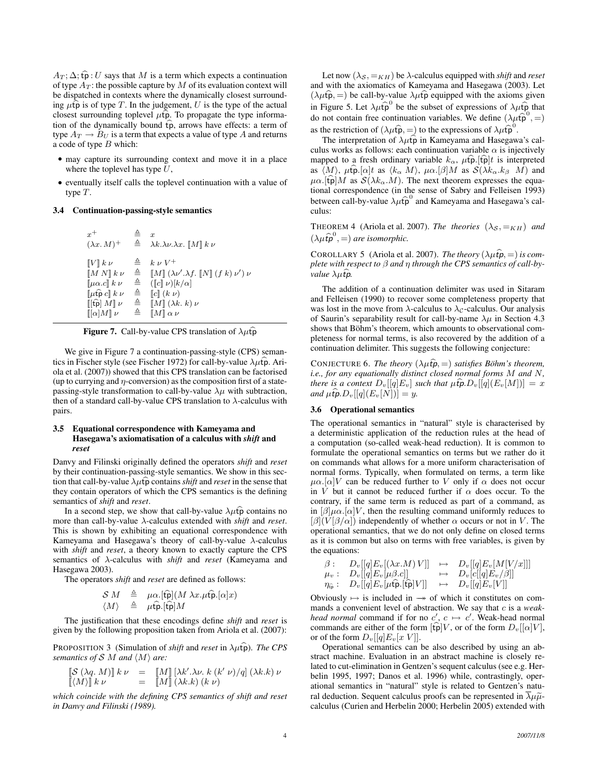$A_T; \Delta; \hat{\mathbf{p}} : U$  says that M is a term which expects a continuation of type  $A_T$ : the possible capture by M of its evaluation context will be dispatched in contexts where the dynamically closest surrounding  $\mu$ tp is of type T. In the judgement, U is the type of the actual closest surrounding toplevel  $\mu \widehat{\mathbf{p}}$ . To propagate the type information of the dynamically bound  $\hat{t}$ , arrows have effects: a term of type  $A_T \rightarrow B_U$  is a term that expects a value of type A and returns a code of type  $B$  which:

- may capture its surrounding context and move it in a place where the toplevel has type  $U$ ,
- eventually itself calls the toplevel continuation with a value of type T.

## 3.4 Continuation-passing-style semantics

| $x^+$                                                      | ≜            | $\boldsymbol{x}$                                                                            |
|------------------------------------------------------------|--------------|---------------------------------------------------------------------------------------------|
| $(\lambda x. M)^+$                                         | $\triangleq$ | $\lambda k.\lambda \nu.\lambda x.$ $\llbracket M \rrbracket k \nu$                          |
| $\llbracket V \rrbracket k \nu$                            | ≜            | $k \nu V^+$                                                                                 |
| $\llbracket M N \rrbracket k \nu$                          | $\triangleq$ | $\llbracket M \rrbracket (\lambda \nu', \lambda f, \llbracket N \rrbracket (f k) \nu') \nu$ |
| $\llbracket \mu \alpha.c \rrbracket k \nu$                 | $\triangleq$ | $(\llbracket c \rrbracket \nu) \llbracket k/\alpha \rrbracket$                              |
| $\llbracket \mu \mathfrak{tp} \, c \rrbracket \, k \, \nu$ | $\triangleq$ | $\llbracket c \rrbracket$ $(k \nu)$                                                         |
| $\mathbb{I}[\widehat{\mathfrak{tp}}]M\mathbb{I}\nu$        | $\triangleq$ | $\llbracket M \rrbracket (\lambda k. k) \nu$                                                |
| $\llbracket [\alpha] M \rrbracket$ $\nu$                   | $\triangleq$ | $\llbracket M \rrbracket \alpha \nu$                                                        |



We give in Figure 7 a continuation-passing-style (CPS) semantics in Fischer style (see Fischer 1972) for call-by-value  $\lambda \mu \hat{t} \hat{p}$ . Ariola et al. (2007)) showed that this CPS translation can be factorised (up to currying and  $\eta$ -conversion) as the composition first of a statepassing-style transformation to call-by-value  $\lambda \mu$  with subtraction, then of a standard call-by-value CPS translation to  $\lambda$ -calculus with pairs.

## 3.5 Equational correspondence with Kameyama and Hasegawa's axiomatisation of a calculus with *shift* and *reset*

Danvy and Filinski originally defined the operators *shift* and *reset* by their continuation-passing-style semantics. We show in this section that call-by-value  $\lambda \mu \hat{t}$  contains *shift* and *reset* in the sense that they contain operators of which the CPS semantics is the defining semantics of *shift* and *reset*.

In a second step, we show that call-by-value  $\lambda \mu \hat{p}$  contains no more than call-by-value λ-calculus extended with *shift* and *reset*. This is shown by exhibiting an equational correspondence with Kameyama and Hasegawa's theory of call-by-value  $\lambda$ -calculus with *shift* and *reset*, a theory known to exactly capture the CPS semantics of λ-calculus with *shift* and *reset* (Kameyama and Hasegawa 2003).

The operators *shift* and *reset* are defined as follows:

$$
\begin{array}{rcl} \mathcal{S} \; M & \triangleq & \mu \alpha. [\hat{\mathfrak{tp}}] (M \; \lambda x. \mu \hat{\mathfrak{tp}} . [\alpha] x) \\ \langle M \rangle & \triangleq & \mu \hat{\mathfrak{tp}} . [\hat{\mathfrak{tp}}] M \end{array}
$$

The justification that these encodings define *shift* and *reset* is given by the following proposition taken from Ariola et al. (2007):

PROPOSITION 3 (Simulation of *shift* and *reset* in  $\lambda \mu \hat{\mathbf{p}}$ ). *The CPS semantics of*  $S$   $M$  *and*  $\langle M \rangle$  *are:* 

$$
\begin{array}{rcl}\n\left[\mathcal{S}(\lambda q.\,M)\right]k\,\nu & = & \left[\!\! \left[M\right]\!\! \left[\lambda k'.\lambda \nu.\,k\left(k'\,\nu\right)\!/q\right]\left(\lambda k.k\right)\nu\right. \\
\left[\!\! \left\langle M\right\rangle\!\right]k\,\nu & = & \left[\!\! \left[M\right]\!\! \left(\lambda k.k\right)\left(k\,\nu\right)\right.\n\end{array}
$$

*which coincide with the defining CPS semantics of shift and reset in Danvy and Filinski (1989).*

Let now  $(\lambda_{\mathcal{S}}, =_{KH})$  be  $\lambda$ -calculus equipped with *shift* and *reset* and with the axiomatics of Kameyama and Hasegawa (2003). Let  $(\lambda \mu \hat{\mathbf{p}}, =)$  be call-by-value  $\lambda \mu \hat{\mathbf{p}}$  equipped with the axioms given in Figure 5. Let  $\lambda \mu \hat{p}^0$  be the subset of expressions of  $\lambda \mu \hat{p}$  that do not contain free continuation variables. We define  $(\lambda \mu \hat{p}^0, =)$ as the restriction of  $(\lambda \mu \hat{\mathfrak{p}}, =)$  to the expressions of  $\lambda \mu \hat{\mathfrak{p}}^0$ .

The interpretation of  $\lambda \mu \hat{\mathbf{p}}$  in Kameyama and Hasegawa's calculus works as follows: each continuation variable  $\alpha$  is injectively mapped to a fresh ordinary variable  $k_{\alpha}$ ,  $\mu \widehat{\mathbf{p}}$  . [tpf is interpreted as  $\langle M \rangle$ ,  $\mu \hat{\mathbf{p}}$ . [ $\alpha$ ]t as  $\langle k_{\alpha} M \rangle$ ,  $\mu \alpha$ . [β]M as  $\mathcal{S}(\lambda k_{\alpha}.k_{\beta} M)$  and  $\mu\alpha$ .[tp] M as  $S(\lambda k_{\alpha}.M)$ . The next theorem expresses the equational correspondence (in the sense of Sabry and Felleisen 1993) between call-by-value  $\lambda\mu\widehat{\mathfrak{p}}^0$  and Kameyama and Hasegawa's calculus:

THEOREM 4 (Ariola et al. 2007). *The theories*  $(\lambda_{\mathcal{S}}, \equiv_{KH})$  *and*  $(\lambda \mu \hat{t} \hat{\boldsymbol{p}}^0, =)$  are isomorphic.

COROLLARY 5 (Ariola et al. 2007). *The theory*  $(\lambda \mu \hat{t} \hat{\boldsymbol{\rho}}, =)$  *is complete with respect to* β *and* η *through the CPS semantics of call-byvalue*  $\lambda \mu \hat{t}$ *p*.

The addition of a continuation delimiter was used in Sitaram and Felleisen (1990) to recover some completeness property that was lost in the move from  $\lambda$ -calculus to  $\lambda_c$ -calculus. Our analysis of Saurin's separability result for call-by-name  $\lambda \mu$  in Section 4.3 shows that Böhm's theorem, which amounts to observational completeness for normal terms, is also recovered by the addition of a continuation delimiter. This suggests the following conjecture:

CONJECTURE 6. *The theory*  $(\lambda \mu \hat{t} \hat{\boldsymbol{p}}, =)$  *satisfies Böhm's theorem, i.e., for any equationally distinct closed normal forms* M *and* N*, there is a context*  $D_v[[q]E_v]$  *such that*  $\mu \widehat{\mathbf{t}}$ *p*. $D_v[[q](E_v[M])] = x$ *and*  $\mu \widehat{\mathbf{t}}$ *p*. $D_v[[q](E_v[N])) = y$ .

## 3.6 Operational semantics

The operational semantics in "natural" style is characterised by a deterministic application of the reduction rules at the head of a computation (so-called weak-head reduction). It is common to formulate the operational semantics on terms but we rather do it on commands what allows for a more uniform characterisation of normal forms. Typically, when formulated on terms, a term like  $\mu\alpha$ .[ $\alpha$ ]V can be reduced further to V only if  $\alpha$  does not occur in V but it cannot be reduced further if  $\alpha$  does occur. To the contrary, if the same term is reduced as part of a command, as in  $\left[\beta\right]\mu\alpha.\left[\alpha\right]V$ , then the resulting command uniformly reduces to  $[\beta](V[\beta/\alpha])$  independently of whether  $\alpha$  occurs or not in V. The operational semantics, that we do not only define on closed terms as it is common but also on terms with free variables, is given by the equations:

$$
\beta: \quad D_v[[q]E_v[(\lambda x.M) V]] \quad \mapsto \quad D_v[[q]E_v[M[V/x]]] \\
 \mu_v: \quad D_v[[q]E_v[\mu\beta.c]] \quad \mapsto \quad D_v[c[[q]E_v/\beta]] \\
 \eta_{\widehat{\mathfrak{p}}}: \quad D_v[[q]E_v[\mu\widehat{\mathfrak{p}}_r[\widehat{\mathfrak{kp}}]V]] \quad \mapsto \quad D_v[[q]E_v[V]]
$$

Obviously  $\mapsto$  is included in  $\rightarrow$  of which it constitutes on commands a convenient level of abstraction. We say that c is a *weakhead normal* command if for no  $c'$ ,  $c \mapsto c'$ . Weak-head normal commands are either of the form  $\widehat{[\mathfrak{tp}]} V$ , or of the form  $D_v[[\alpha]V]$ , or of the form  $D_v[[q]E_v[x]V$ .

Operational semantics can be also described by using an abstract machine. Evaluation in an abstract machine is closely related to cut-elimination in Gentzen's sequent calculus (see e.g. Herbelin 1995, 1997; Danos et al. 1996) while, contrastingly, operational semantics in "natural" style is related to Gentzen's natural deduction. Sequent calculus proofs can be represented in  $\overline{\lambda}\mu\tilde{\mu}$ calculus (Curien and Herbelin 2000; Herbelin 2005) extended with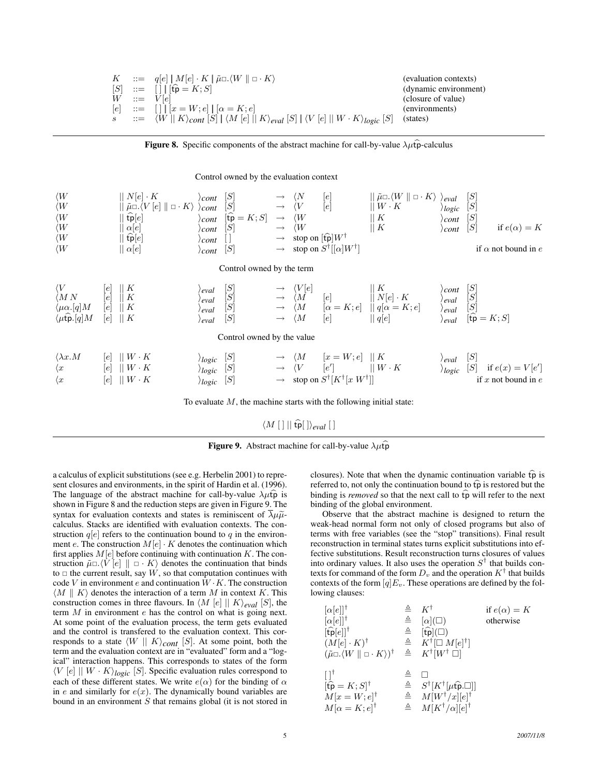|  | $K$ ::= $q[e]   M[e] \cdot K   \tilde{\mu} \Box \langle W   \Box \cdot K \rangle$                                                                                | (evaluation contexts) |
|--|------------------------------------------------------------------------------------------------------------------------------------------------------------------|-----------------------|
|  | $[S]$ ::= $[ \ ] [\widehat{\mathfrak{fp}} = K; S]$                                                                                                               | (dynamic environment) |
|  | $W ::= V[e]$                                                                                                                                                     | (closure of value)    |
|  | $[e]$ ::= $[ \ ] \   [x = W; e] \   [\alpha = K; e]$                                                                                                             | (environments)        |
|  | $s$ $\qquad := \langle W \mid K \rangle_{cont}$ $[S] \mid \langle M \in ] \mid K \rangle_{eval}$ $[S] \mid \langle V \in ] \mid W \cdot K \rangle_{logic}$ $[S]$ | (states)              |



Control owned by the evaluation context

| $\langle W$<br>$\langle W$<br>$\langle W$<br>$\langle W$<br>$\langle W$<br>$\langle W$                              |                        | $\mid\mid N[e] \cdot K$<br>$\parallel \tilde{\mu} \Box \langle V\left[ e \right] \parallel \Box \cdot K \rangle$<br>$\lfloor \widehat{\text{tp}}[e] \rfloor$<br>$\alpha[e]$<br>$\lfloor \widehat{\text{tp}}[e] \rfloor$<br>$\parallel \alpha[e]$ | cont<br>cont<br>cont<br>cont<br>cont<br>cont      | [S]<br>[S]<br>$[\widehat{\mathsf{tp}} = K; S]$<br>[S]<br>[S]                                                                                                                                                                                                                                                                                                                                                                                    | $\longrightarrow$<br>$\longrightarrow$<br>$\longrightarrow$<br>$\longrightarrow$<br>$\longrightarrow$<br>$\longrightarrow$ | $\langle N$<br>$\langle V$<br>$\langle W$<br>$\langle W$<br>stop on $[\hat{\text{tp}}]W^{\dagger}$ | [e]<br>[e]<br>stop on $S^{\dagger}[[\alpha]W^{\dagger}]$                    | $\parallel \tilde{\mu} \Box \langle W \parallel \Box \cdot K \rangle$<br>$  W \cdot K$<br>К<br>   K | eval<br>logic<br>cont<br>cont               | [S]<br>$[S] % \begin{center} % \includegraphics[width=\linewidth]{imagesSupplemental_3.png} % \end{center} % \caption { % Our method is used for different values of the estimators in the image. % Note that the \emph{exponent} is the same number of elements in the image. % Note that the \emph{exponent} is the same number of elements in the image. % Note that the \emph{exponent} is the same number of elements in the image. % Note that the \emph{exponent} is the same number of elements in the image. % Note that the \emph{exponent} is the same number of elements in the image. % Note that the \emph{exponent} is the same number of elements in the image. % Note that the \emph{exponent} is the same number of elements in the image. % Note that the \emph{exponent} is the same number of elements in the image. %$<br>$[S] % \centering % {\includegraphics[width=0.9\textwidth]{images/Trigersfigs/2a-2.png}} \caption{The figure shows the results of the estimators in the estimators.} \label{fig:Trigersfigs}$<br>[S]<br>if $e(\alpha) = K$<br>if $\alpha$ not bound in e |
|---------------------------------------------------------------------------------------------------------------------|------------------------|--------------------------------------------------------------------------------------------------------------------------------------------------------------------------------------------------------------------------------------------------|---------------------------------------------------|-------------------------------------------------------------------------------------------------------------------------------------------------------------------------------------------------------------------------------------------------------------------------------------------------------------------------------------------------------------------------------------------------------------------------------------------------|----------------------------------------------------------------------------------------------------------------------------|----------------------------------------------------------------------------------------------------|-----------------------------------------------------------------------------|-----------------------------------------------------------------------------------------------------|---------------------------------------------|----------------------------------------------------------------------------------------------------------------------------------------------------------------------------------------------------------------------------------------------------------------------------------------------------------------------------------------------------------------------------------------------------------------------------------------------------------------------------------------------------------------------------------------------------------------------------------------------------------------------------------------------------------------------------------------------------------------------------------------------------------------------------------------------------------------------------------------------------------------------------------------------------------------------------------------------------------------------------------------------------------------------------------------------------------------------------------------------------------|
|                                                                                                                     |                        |                                                                                                                                                                                                                                                  |                                                   | Control owned by the term                                                                                                                                                                                                                                                                                                                                                                                                                       |                                                                                                                            |                                                                                                    |                                                                             |                                                                                                     |                                             |                                                                                                                                                                                                                                                                                                                                                                                                                                                                                                                                                                                                                                                                                                                                                                                                                                                                                                                                                                                                                                                                                                          |
| $\langle V$<br>$\langle M N$<br>$\langle \mu \alpha. \lbrack q \rbrack M$<br>$\langle \mu \hat{\mathbf{tp}}. [q] M$ | e <br> e <br> e <br> e | $\parallel K$<br>$\parallel K$<br>$\parallel K$<br>$\parallel K$                                                                                                                                                                                 | 'eval<br>'eval<br>'eval<br>∕ eval                 | [S]<br>$[S] % \centering % {\includegraphics[width=0.9\textwidth]{images/Trigers.png}} \caption{The figure shows the results of the estimators in the estimators.} \label{fig:Trigers} %$<br>$[S] % \begin{center} \includegraphics[width=\linewidth]{imagesSupplemental/Imit.png} \end{center} \caption{The image shows the method of the method of the method. The image shows the method of the method of the method.} \label{fig:2}$<br>[S] | $\longrightarrow$<br>$\longrightarrow$<br>$\longrightarrow$                                                                | $\langle V[e]$<br>$\langle M$<br>$\langle M$<br>$\langle M$                                        | $\lfloor e \rfloor$<br> e                                                   | K<br>$  N[e] \cdot K$<br>$[\alpha = K; e]$ $   q[\alpha = K; e]$<br>   q[e]                         | cont<br><sup>d</sup> eval<br>'eval<br>\eval | [S]<br>$\begin{bmatrix} S \\ S \end{bmatrix}$<br>$[\widehat{\mathfrak{tp}} = K; S]$                                                                                                                                                                                                                                                                                                                                                                                                                                                                                                                                                                                                                                                                                                                                                                                                                                                                                                                                                                                                                      |
| Control owned by the value                                                                                          |                        |                                                                                                                                                                                                                                                  |                                                   |                                                                                                                                                                                                                                                                                                                                                                                                                                                 |                                                                                                                            |                                                                                                    |                                                                             |                                                                                                     |                                             |                                                                                                                                                                                                                                                                                                                                                                                                                                                                                                                                                                                                                                                                                                                                                                                                                                                                                                                                                                                                                                                                                                          |
| $\langle \lambda x. M$<br>$\langle x \rangle$<br>$\langle x$                                                        | le <br> e <br> e       | $\parallel W\cdot K$<br>$  W \cdot K$<br>$  W \cdot K$                                                                                                                                                                                           | $\rangle_{logic}$ [S]<br>$\rangle$ logic<br>logic | $[S]$<br>$[S]$                                                                                                                                                                                                                                                                                                                                                                                                                                  | $\rightarrow$ $\langle V \rangle$<br>$\longrightarrow$                                                                     | $\langle M$                                                                                        | $ x = W; e $<br> e' <br>stop on $S^{\dagger}[K^{\dagger}[x \ W^{\dagger}]]$ | $\parallel K$<br>$\parallel W \cdot K$                                                              | ∣ eval<br>$\logic$                          | $[S] % \begin{center} \includegraphics[width=\linewidth]{imagesSupplemental/Imit} \caption{NIST and NIST and NIST is a function of the number of~\cite{NST}.} \label{fig:ex1} \end{center}$<br>$[S] % \begin{center} \includegraphics[width=\linewidth]{imagesSupplemental/Imit} \caption{NIST and NIST and NIST is a function of the number of~\cite{NST}.} \label{fig:ex1} \end{center}$<br>if $e(x) = V[e']$<br>if $x$ not bound in $e$                                                                                                                                                                                                                                                                                                                                                                                                                                                                                                                                                                                                                                                               |

To evaluate  $M$ , the machine starts with the following initial state:

## $\langle M [ ] || \hat{tp} [ ] \rangle_{eval} [ ]$



a calculus of explicit substitutions (see e.g. Herbelin 2001) to represent closures and environments, in the spirit of Hardin et al. (1996). The language of the abstract machine for call-by-value  $\lambda \mu \hat{t} \hat{p}$  is shown in Figure 8 and the reduction steps are given in Figure 9. The syntax for evaluation contexts and states is reminiscent of  $\overline{\lambda}\mu\tilde{\mu}$ calculus. Stacks are identified with evaluation contexts. The construction  $q[e]$  refers to the continuation bound to q in the environment  $e$ . The construction  $M[e] \cdot K$  denotes the continuation which first applies  $M[e]$  before continuing with continuation K. The construction  $\tilde{\mu} \Box \langle V [e] \parallel \Box \cdot K \rangle$  denotes the continuation that binds to  $\Box$  the current result, say W, so that computation continues with code V in environment e and continuation  $\hat{W} \cdot K$ . The construction  $\langle M \parallel K \rangle$  denotes the interaction of a term M in context K. This construction comes in three flavours. In  $\langle M [e] || K \rangle_{eval} [S]$ , the term  $M$  in environment  $e$  has the control on what is going next. At some point of the evaluation process, the term gets evaluated and the control is transfered to the evaluation context. This corresponds to a state  $\langle W \rangle \mid K \rangle_{cont}$  [S]. At some point, both the term and the evaluation context are in "evaluated" form and a "logical" interaction happens. This corresponds to states of the form  $\langle V [e] || W \cdot K \rangle_{logic}$  [S]. Specific evaluation rules correspond to each of these different states. We write  $e(\alpha)$  for the binding of  $\alpha$ in e and similarly for  $e(x)$ . The dynamically bound variables are bound in an environment  $S$  that remains global (it is not stored in closures). Note that when the dynamic continuation variable  $\widehat{tp}$  is referred to, not only the continuation bound to  $\widehat{tp}$  is restored but the binding is *removed* so that the next call to  $\hat{t}$  will refer to the next binding of the global environment.

Observe that the abstract machine is designed to return the weak-head normal form not only of closed programs but also of terms with free variables (see the "stop" transitions). Final result reconstruction in terminal states turns explicit substitutions into effective substitutions. Result reconstruction turns closures of values into ordinary values. It also uses the operation  $S^{\dagger}$  that builds contexts for command of the form  $D_v$  and the operation  $K^{\dagger}$  that builds contexts of the form  $[q]E_v$ . These operations are defined by the following clauses:

| $[\alpha[e]]^{\dagger}$<br>$[\alpha[e]]^{\dagger}$<br>$[\widehat{\mathsf{tp}}[e]]^\dagger$<br>$(M[e] \cdot K)^{\dagger}$<br>$(\tilde{\mu} \Box \langle W \parallel \Box \cdot K \rangle)^{\dagger}$ | ≜ | $K^{\dagger}$<br>$\triangleq$ $[\alpha](\Box)$<br>$\triangleq$ [tp]( $\square$ )<br>$\triangleq$ $K^{\dagger}[\Box M[e]^{\dagger}]$<br>$\triangleq$ $K^{\dagger}[W^{\dagger} \ \Box]$ | if $e(\alpha) = K$<br>otherwise |
|-----------------------------------------------------------------------------------------------------------------------------------------------------------------------------------------------------|---|---------------------------------------------------------------------------------------------------------------------------------------------------------------------------------------|---------------------------------|
| ا ا<br>$[\widehat{\mathsf{tp}} = K; S]^\dagger$<br>$M[x=W;e]^{\dagger}$<br>$M[\alpha = K; e]^\dagger$                                                                                               |   | $\triangleq S^{\dagger}[K^{\dagger}[\mu \hat{\mathbf{p}}]$ . $\Box$<br>$\triangleq$ $M[W^{\dagger}/x][e]^{\dagger}$<br>$\triangleq \quad M[K^{\dagger}/\alpha][e]^{\dagger}$          |                                 |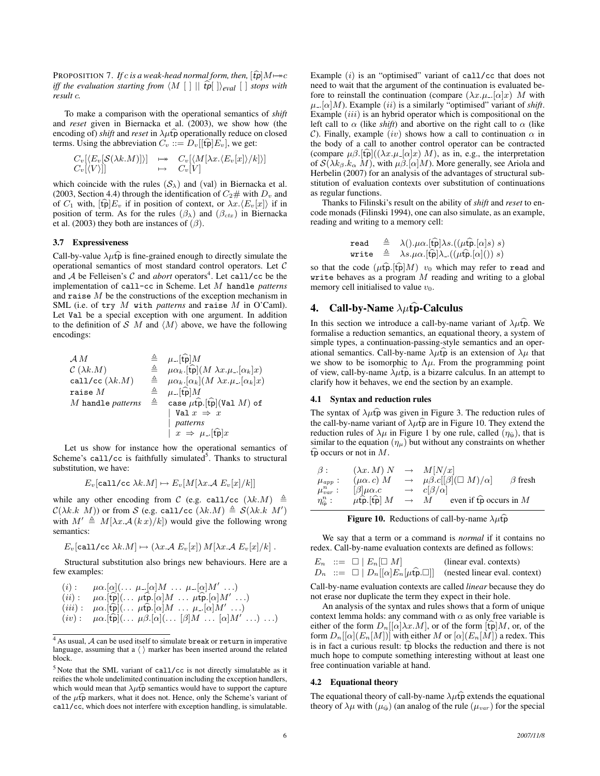PROPOSITION 7. *If c is a weak-head normal form, then,*  $[\hat{tp}]M \mapsto c$ *iff the evaluation starting from*  $\langle M [ ] | || \hat{t} \hat{p} || \rangle_{eval} [ ]$  *stops with result* c*.*

To make a comparison with the operational semantics of *shift* and *reset* given in Biernacka et al. (2003), we show how (the encoding of) *shift* and *reset* in  $\lambda \mu \hat{\mathbf{p}}$  operationally reduce on closed terms. Using the abbreviation  $C_v ::= D_v[[\widehat{\mathfrak{tp}}]E_v]$ , we get:

$$
\begin{array}{ccc} C_v[\langle E_v[\mathcal{S}(\lambda k.M)] \rangle] & \mapsto & C_v[\langle M[\lambda x. \langle E_v[x] \rangle / k] \rangle] \\ C_v[\langle V \rangle]] & \mapsto & C_v[V] \end{array}
$$

which coincide with the rules  $(S_{\lambda})$  and (val) in Biernacka et al. (2003, Section 4.4) through the identification of  $C_2$ # with  $D_v$  and of  $C_1$  with,  $[\mathbf{\hat{tp}}]E_v$  if in position of context, or  $\lambda x.\langle E_v[x]\rangle$  if in position of term. As for the rules  $(\beta_{\lambda})$  and  $(\beta_{ctx})$  in Biernacka et al. (2003) they both are instances of  $(\beta)$ .

## 3.7 Expressiveness

Call-by-value  $\lambda \mu \hat{p}$  is fine-grained enough to directly simulate the operational semantics of most standard control operators. Let C and  $A$  be Felleisen's  $C$  and *abort* operators<sup>4</sup>. Let call/cc be the implementation of call-cc in Scheme. Let M handle *patterns* and raise  $M$  be the constructions of the exception mechanism in SML (i.e. of try M with *patterns* and raise M in O'Caml). Let Val be a special exception with one argument. In addition to the definition of S M and  $\langle M \rangle$  above, we have the following encodings:

$$
\begin{array}{rcl}\n\mathcal{A} M & \triangleq & \mu_{-}[\widehat{\mathfrak{tp}}] M \\
\mathcal{C} (\lambda k.M) & \triangleq & \mu \alpha_k .[\widehat{\mathfrak{tp}}] (M \lambda x. \mu_{-}[\alpha_k] x) \\
\text{call}/\text{cc} (\lambda k.M) & \triangleq & \mu \alpha_k .[\alpha_k] (M \lambda x. \mu_{-}[\alpha_k] x) \\
\text{raise } M & \triangleq & \mu_{-}[\widehat{\mathfrak{tp}}] M \\
M \text{ handle patterns} & \triangleq & \text{case } \mu \widehat{\mathfrak{tp}} .[\widehat{\mathfrak{tp}}] (\text{Val } M) \text{ of} \\
 & |\text{Val } x \Rightarrow x \\
 & \text{patterns} & | x \Rightarrow \mu_{-}[\widehat{\mathfrak{tp}}] x\n\end{array}
$$

Let us show for instance how the operational semantics of Scheme's call/cc is faithfully simulated<sup>5</sup>. Thanks to structural substitution, we have:

$$
E_v[\text{call/cc }\lambda k.M] \mapsto E_v[M[\lambda x. \mathcal{A} E_v[x]/k]]
$$

while any other encoding from C (e.g. call/cc  $(\lambda k.M) \triangleq$  $\mathcal{C}(\lambda k.k \ M))$  or from S (e.g. call/cc  $(\lambda k.M) \triangleq \mathcal{S}(\lambda k.k \ M')$ with  $M' \triangleq M[\lambda x \cdot A(kx)/k]$  would give the following wrong semantics:

$$
E_v[\text{call/cc }\lambda k.M] \mapsto (\lambda x. \mathcal{A} E_v[x]) M[\lambda x. \mathcal{A} E_v[x]/k].
$$

Structural substitution also brings new behaviours. Here are a few examples:

(i): 
$$
\mu\alpha.[\alpha](\ldots \mu.[\alpha]M \ldots \mu.[\alpha]M' \ldots)
$$
  
\n(ii):  $\mu\alpha.[\widehat{\text{tp}}](\ldots \mu\widehat{\text{tp}}.[\alpha]M \ldots \mu\widehat{\text{tp}}.[\alpha]M' \ldots)$   
\n(iii):  $\mu\alpha.[\widehat{\text{tp}}](\ldots \mu\widehat{\text{tp}}.[\alpha]M \ldots \mu.[\alpha]M' \ldots)$   
\n(iv):  $\mu\alpha.[\widehat{\text{tp}}](\ldots \mu\beta.[\alpha](\ldots [\beta]M \ldots [\alpha]M' \ldots) \ldots$ 

Example  $(i)$  is an "optimised" variant of call/cc that does not need to wait that the argument of the continuation is evaluated before to reinstall the continuation (compare  $(\lambda x.\mu_-[\alpha]x)$ ) M with  $\mu$ ...[ $\alpha$ ]*M*). Example *(ii)* is a similarly "optimised" variant of *shift*. Example  $(iii)$  is an hybrid operator which is compositional on the left call to  $\alpha$  (like *shift*) and abortive on the right call to  $\alpha$  (like C). Finally, example (iv) shows how a call to continuation  $\alpha$  in the body of a call to another control operator can be contracted (compare  $\mu \beta$ .[tp̃](( $\lambda x.\mu$ <sub>-</sub>[ $\alpha$ ]x) *M*), as in, e.g., the interpretation of  $\mathcal{S}(\lambda k_{\beta}.k_{\alpha} M)$ , with  $\mu \beta.[\alpha]M$ ). More generally, see Ariola and Herbelin (2007) for an analysis of the advantages of structural substitution of evaluation contexts over substitution of continuations as regular functions.

Thanks to Filinski's result on the ability of *shift* and *reset* to encode monads (Filinski 1994), one can also simulate, as an example, reading and writing to a memory cell:

$$
\begin{array}{lll}\mathsf{read} & \triangleq & \lambda(.) . \mu \alpha. [\widehat{\mathsf{tp}}] \lambda s. ((\mu \widehat{\mathsf{tp}} . [\alpha] s) \ s) \\ \mathsf{write} & \triangleq & \lambda s . \mu \alpha. [\widehat{\mathsf{tp}}] \lambda . ((\mu \widehat{\mathsf{tp}} . [\alpha]()) \ s)\end{array}
$$

so that the code  $(\mu \widehat{\mathfrak{tp}} |M)$  v<sub>0</sub> which may refer to read and write behaves as a program  $M$  reading and writing to a global memory cell initialised to value  $v_0$ .

## 4. Call-by-Name  $\lambda \mu \widehat{\mathbf{p}}$ -Calculus

In this section we introduce a call-by-name variant of  $\lambda \mu \hat{\mathbf{p}}$ . We formalise a reduction semantics, an equational theory, a system of simple types, a continuation-passing-style semantics and an operational semantics. Call-by-name  $\lambda \mu \hat{p}$  is an extension of  $\lambda \mu$  that we show to be isomorphic to  $\Lambda \mu$ . From the programming point of view, call-by-name  $\lambda \mu \hat{t}$ , is a bizarre calculus. In an attempt to clarify how it behaves, we end the section by an example.

## 4.1 Syntax and reduction rules

The syntax of  $\lambda \mu \hat{t}$  was given in Figure 3. The reduction rules of the call-by-name variant of  $\lambda \mu \hat{t}$  are in Figure 10. They extend the reduction rules of  $\lambda \mu$  in Figure 1 by one rule, called  $(\eta_{\hat{t}\hat{p}})$ , that is similar to the equation  $(\eta_{\mu})$  but without any constraints on whether  $\widehat{\mathfrak{tp}}$  occurs or not in M.

$$
\beta: \qquad (\lambda x. M) N \rightarrow M[N/x]
$$
  
\n
$$
\mu_{app}: \qquad (\mu \alpha. c) M \rightarrow \mu \beta. c[[\beta](\Box M)/\alpha] \qquad \beta \text{ fresh}
$$
  
\n
$$
\mu_{var}^n: \qquad [\beta]\mu \alpha. c \rightarrow c[\beta/\alpha]
$$
  
\n
$$
\eta_{\hat{\Phi}}^n: \qquad \mu \hat{\mathbf{p}}. [\hat{\mathbf{tp}}] M \rightarrow M \qquad \text{even if } \hat{\mathbf{tp}} \text{ occurs in } M
$$

**Figure 10.** Reductions of call-by-name  $\lambda \mu \widehat{\mathbf{p}}$ 

We say that a term or a command is *normal* if it contains no redex. Call-by-name evaluation contexts are defined as follows:

$$
E_n := \square | E_n[\square M]
$$
 (linear eval. contexts)  
\n
$$
D_n := \square | D_n[[\alpha]E_n[\mu \widehat{\mathbf{t}}_p \square]]
$$
 (instead linear eval. context)

Call-by-name evaluation contexts are called *linear* because they do not erase nor duplicate the term they expect in their hole.

An analysis of the syntax and rules shows that a form of unique context lemma holds: any command with  $\alpha$  as only free variable is either of the form  $D_n[[\alpha]\lambda x.M]$ , or of the form  $[\widehat{\mathfrak{tp}}]M$ , or, of the form  $D_n[[\alpha](E_n[M])]$  with either M or  $[\alpha](E_n[M])$  a redex. This is in fact a curious result:  $\widehat{tp}$  blocks the reduction and there is not much hope to compute something interesting without at least one free continuation variable at hand.

## 4.2 Equational theory

The equational theory of call-by-name  $\lambda \mu \hat{t} \hat{p}$  extends the equational theory of  $\lambda \mu$  with  $(\mu_{\widehat{tp}})$  (an analog of the rule  $(\mu_{var})$  for the special

. . .) . . .)

 $4$  As usual,  $A$  can be used itself to simulate break or return in imperative language, assuming that a  $\langle \rangle$  marker has been inserted around the related block.

<sup>5</sup> Note that the SML variant of call/cc is not directly simulatable as it reifies the whole undelimited continuation including the exception handlers, which would mean that  $\lambda \mu \hat{t} \hat{p}$  semantics would have to support the capture of the  $\mu \widehat{\mathbf{p}}$  markers, what it does not. Hence, only the Scheme's variant of call/cc, which does not interfere with exception handling, is simulatable.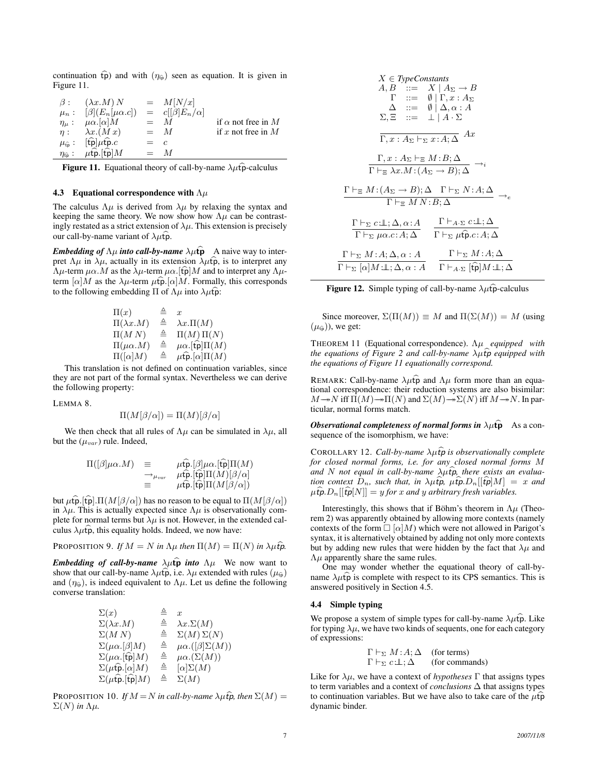continuation  $\widehat{tp}$ ) and with  $(\eta_{\widehat{tp}})$  seen as equation. It is given in Figure 11.

| $\beta$ : | $(\lambda x.M)N$                                                                               |       | $=$ $M[N/x]$             |                           |
|-----------|------------------------------------------------------------------------------------------------|-------|--------------------------|---------------------------|
|           | $\mu_n: [\beta](E_n[\mu \alpha.c])$                                                            |       | $= c[[\beta]E_n/\alpha]$ |                           |
|           | $\eta_{\mu}: \mu \alpha. [\alpha] M$                                                           |       | $=$ M                    | if $\alpha$ not free in M |
|           | $\eta: \lambda x.(Mx)$                                                                         |       | $=$ M                    | if x not free in $M$      |
|           | $\mu_{\widehat{\text{to}}}$ : [t͡p] $\mu$ t͡p.c                                                | $=$ c |                          |                           |
|           | $\eta_{\widehat{\mathfrak{p}}}$ : $\mu \widehat{\mathfrak{tp}}$ . $[\widehat{\mathfrak{tp}}]M$ |       | $=$ M                    |                           |

Figure 11. Equational theory of call-by-name  $\lambda \mu \hat{t}$  -calculus

## 4.3 Equational correspondence with  $\Lambda \mu$

The calculus  $\Lambda \mu$  is derived from  $\lambda \mu$  by relaxing the syntax and keeping the same theory. We now show how  $\Lambda \mu$  can be contrastingly restated as a strict extension of  $\lambda \mu$ . This extension is precisely our call-by-name variant of  $\lambda \mu \hat{\mathbf{p}}$ .

*Embedding of*  $\Lambda \mu$  *into call-by-name*  $\lambda \mu \hat{\mathbf{p}}$  A naive way to interpret  $\Lambda \mu$  in  $\lambda \mu$ , actually in its extension  $\lambda \mu \hat{p}$ , is to interpret any  $Λ\mu$ -term  $\mu\alpha$ . M as the  $λ\mu$ -term  $\mu\alpha$ . [tpm] and to interpret any  $Λ\mu$ term  $[\alpha]M$  as the  $\lambda\mu$ -term  $\mu\widehat{\mathbf{tp}}$ .  $[\alpha]M$ . Formally, this corresponds to the following embedding  $\Pi$  of  $\Lambda \mu$  into  $\lambda \mu \hat{\mathbf{p}}$ :

$$
\begin{array}{ccc}\n\Pi(x) & \triangleq & x \\
\Pi(\lambda x.M) & \triangleq & \lambda x.\Pi(M) \\
\Pi(M\ N) & \triangleq & \Pi(M)\Pi(N) \\
\Pi(\mu\alpha.M) & \triangleq & \mu\alpha.\text{[fp]}\Pi(M) \\
\Pi([\alpha]M) & \triangleq & \mu\text{fp}.\text{[\alpha]}\Pi(M)\n\end{array}
$$

This translation is not defined on continuation variables, since they are not part of the formal syntax. Nevertheless we can derive the following property:

LEMMA 8.

$$
\Pi(M[\beta/\alpha]) = \Pi(M)[\beta/\alpha]
$$

We then check that all rules of  $\Lambda \mu$  can be simulated in  $\lambda \mu$ , all but the  $(\mu_{var})$  rule. Indeed,

$$
\Pi([\beta]\mu\alpha.M) = \mu \hat{\mathbf{r}} \Pi(\beta]\mu\alpha.\mathsf{[fp]}\Pi(M)
$$
\n
$$
\rightarrow_{\mu_{var}} \mu \hat{\mathbf{r}} \Pi(\hat{\mathbf{r}})\Pi(M)[\beta/\alpha]
$$
\n
$$
\equiv \mu \hat{\mathbf{r}} \Pi(M[\beta/\alpha])
$$

but  $\mu \widehat{\mathbf{t}}$  p. [ $\widehat{\mathbf{t}}$  p].  $\Pi(M[\beta/\alpha])$  has no reason to be equal to  $\Pi(M[\beta/\alpha])$ in  $\lambda \mu$ . This is actually expected since  $\Lambda \mu$  is observationally complete for normal terms but  $\lambda \mu$  is not. However, in the extended calculus  $\lambda \mu \hat{\mathbf{p}}$ , this equality holds. Indeed, we now have:

PROPOSITION 9. If  $M = N$  in  $\Lambda \mu$  then  $\Pi(M) = \Pi(N)$  in  $\lambda \mu \hat{t}$ **p**.

*Embedding of call-by-name*  $\lambda \mu \hat{\mathbf{p}}$  *into*  $\Lambda \mu$  We now want to show that our call-by-name  $\lambda \mu \hat{t}$ , i.e.  $\lambda \mu$  extended with rules ( $\mu_{\hat{t}p}$ ) and  $(\eta_{\text{fp}})$ , is indeed equivalent to  $\Lambda \mu$ . Let us define the following converse translation:

$$
\begin{array}{llllll} \Sigma(x) & \triangleq & x \\ \Sigma(\lambda x.M) & \triangleq & \lambda x.\Sigma(M) \\ \Sigma(M\ N) & \triangleq & \Sigma(M)\Sigma(N) \\ \Sigma(\mu\alpha.[\beta]M) & \triangleq & \mu\alpha.[(\beta]\Sigma(M)) \\ \Sigma(\mu\alpha.[\mathfrak{fp}]M) & \triangleq & \mu\alpha.\Sigma(M)) \\ \Sigma(\mu\mathfrak{fp}.[\alpha]M) & \triangleq & [\alpha]\Sigma(M) \\ \Sigma(\mu\mathfrak{fp}.[\mathfrak{fp}]M) & \triangleq & \Sigma(M) \end{array}
$$

PROPOSITION 10. *If*  $M = N$  *in call-by-name*  $\lambda \mu \hat{f}$ *p, then*  $\Sigma(M)$  =  $\Sigma(N)$  *in*  $Λμ$ *.* 

$$
X \in Type constants
$$
\n
$$
A, B \ ::= X | A_{\Sigma} \rightarrow B
$$
\n
$$
\Gamma \ ::= \emptyset | \Gamma, x : A_{\Sigma}
$$
\n
$$
\Delta \ ::= \emptyset | \Delta, \alpha : A
$$
\n
$$
\Sigma, \Xi \ ::= \bot | A \cdot \Sigma
$$
\n
$$
\overline{\Gamma, x : A_{\Sigma} \vdash_{\Sigma} x : A; \Delta} \quad Ax
$$
\n
$$
\Gamma \vdash_{\Xi} \lambda x . M : (A_{\Sigma} \rightarrow B); \Delta \rightarrow i
$$
\n
$$
\Gamma \vdash_{\Xi} M : (A_{\Sigma} \rightarrow B); \Delta \Gamma \vdash_{\Sigma} N : A; \Delta \rightarrow e
$$
\n
$$
\Gamma \vdash_{\Xi} M : (A_{\Sigma} \rightarrow B); \Delta \Gamma \vdash_{\Sigma} N : A; \Delta \rightarrow e
$$
\n
$$
\Gamma \vdash_{\Sigma} U : \Delta, \alpha : A \qquad \Gamma \vdash_{\Delta} \mu \hat{\mathbf{p}}. c : A; \Delta
$$
\n
$$
\Gamma \vdash_{\Sigma} M : A; \Delta, \alpha : A \qquad \Gamma \vdash_{\Sigma} \mu \hat{\mathbf{p}}. c : A; \Delta
$$
\n
$$
\Gamma \vdash_{\Sigma} [ \alpha ] M : \bot; \Delta, \alpha : A \qquad \Gamma \vdash_{\Delta} \Sigma \quad [\hat{\mathbf{p}}] M : \bot; \Delta
$$

**Figure 12.** Simple typing of call-by-name  $\lambda \mu \hat{t}$  -calculus

Since moreover,  $\Sigma(\Pi(M)) \equiv M$  and  $\Pi(\Sigma(M)) = M$  (using  $(\mu_{\widehat{\text{tp}}} )$ ), we get:

THEOREM 11 (Equational correspondence). Λµ *equipped with the equations of Figure 2 and call-by-name λμίφ equipped with the equations of Figure 11 equationally correspond.*

REMARK: Call-by-name  $\lambda \mu \hat{p}$  and  $\Lambda \mu$  form more than an equational correspondence: their reduction systems are also bisimilar:  $M \rightarrow N$  iff  $\Pi(M) \rightarrow \Pi(N)$  and  $\Sigma(M) \rightarrow \Sigma(N)$  iff  $M \rightarrow N$ . In particular, normal forms match.

*Observational completeness of normal forms in* $\lambda \mu \hat{\mathbf{p}}$  **As a con**sequence of the isomorphism, we have:

COROLLARY 12. *Call-by-name λμίφ is observationally complete for closed normal forms, i.e. for any closed normal forms* M and N not equal in call-by-name  $\lambda \mu \hat{f}$ *p*, there exists an evalua*tion context*  $D_n$ , *such that, in*  $\lambda \mu \hat{t}$ ,  $\mu \hat{t}$ ,  $\mu \hat{t}$ ,  $D_n[[\hat{t}$ ,  $p]M] = x$  and  $\mu \widehat{\mathbf{t}}$ p.  $D_n[[\widehat{\mathbf{t}} p N]] = y$  *for* x and y arbitrary *fresh variables.* 

Interestingly, this shows that if Böhm's theorem in  $\Lambda\mu$  (Theorem 2) was apparently obtained by allowing more contexts (namely contexts of the form  $\Box \left[ \alpha \right] M$ ) which were not allowed in Parigot's syntax, it is alternatively obtained by adding not only more contexts but by adding new rules that were hidden by the fact that  $\lambda \mu$  and  $Λ<sub>μ</sub>$  apparently share the same rules.

One may wonder whether the equational theory of call-byname  $\lambda \mu \hat{p}$  is complete with respect to its CPS semantics. This is answered positively in Section 4.5.

## 4.4 Simple typing

We propose a system of simple types for call-by-name  $\lambda \mu \hat{t} \hat{p}$ . Like for typing  $\lambda \mu$ , we have two kinds of sequents, one for each category of expressions:

$$
\Gamma \vdash_{\Sigma} M : A; \Delta \quad \text{(for terms)}
$$
  
 
$$
\Gamma \vdash_{\Sigma} c : \perp; \Delta \quad \text{(for commands)}
$$

Like for  $\lambda \mu$ , we have a context of *hypotheses*  $\Gamma$  that assigns types to term variables and a context of *conclusions* ∆ that assigns types to continuation variables. But we have also to take care of the  $\mu \hat{t}$ dynamic binder.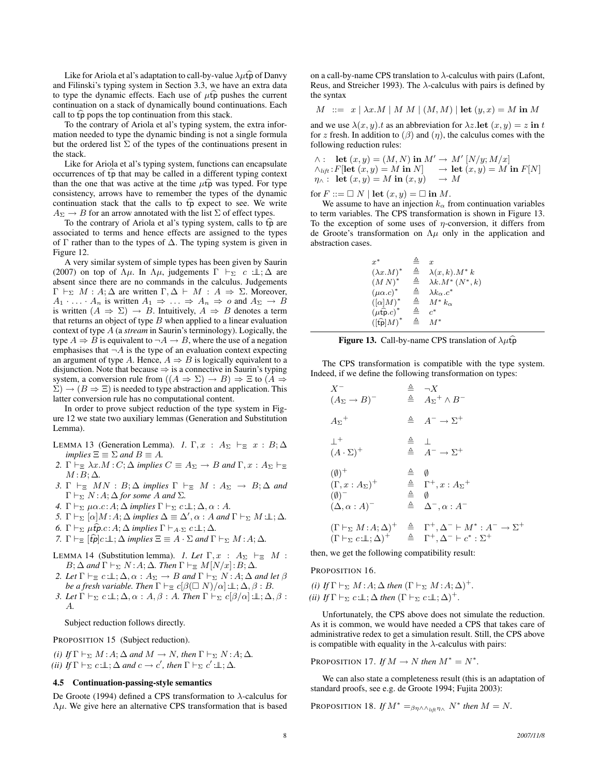Like for Ariola et al's adaptation to call-by-value  $\lambda \mu \hat{\mathbf{p}}$  of Danvy and Filinski's typing system in Section 3.3, we have an extra data to type the dynamic effects. Each use of  $\mu \hat{t}$  pushes the current continuation on a stack of dynamically bound continuations. Each call to  $\widehat{tp}$  pops the top continuation from this stack.

To the contrary of Ariola et al's typing system, the extra information needed to type the dynamic binding is not a single formula but the ordered list  $\Sigma$  of the types of the continuations present in the stack.

Like for Ariola et al's typing system, functions can encapsulate occurrences of  $\widehat{tp}$  that may be called in a different typing context than the one that was active at the time  $\mu \hat{t}$  was typed. For type consistency, arrows have to remember the types of the dynamic continuation stack that the calls to  $\widehat{tp}$  expect to see. We write  $A_{\Sigma} \rightarrow B$  for an arrow annotated with the list  $\Sigma$  of effect types.

To the contrary of Ariola et al's typing system, calls to tp are associated to terms and hence effects are assigned to the types of  $\Gamma$  rather than to the types of  $\Delta$ . The typing system is given in Figure 12.

A very similar system of simple types has been given by Saurin (2007) on top of  $\Lambda\mu$ . In  $\Lambda\mu$ , judgements  $\Gamma \vdash_{\Sigma} c \bot : \Delta$  are absent since there are no commands in the calculus. Judgements  $Γ ⊢<sub>Σ</sub> M : A; Δ$  are written Γ,  $Δ ⊢ M : A ⇒ Σ$ . Moreover,  $A_1 \cdot \ldots \cdot A_n$  is written  $A_1 \Rightarrow \ldots \Rightarrow A_n \Rightarrow o$  and  $A_{\Sigma} \rightarrow B$ is written  $(A \Rightarrow \Sigma) \rightarrow B$ . Intuitively,  $A \Rightarrow B$  denotes a term that returns an object of type  $B$  when applied to a linear evaluation context of type A (a *stream* in Saurin's terminology). Logically, the type  $A \Rightarrow B$  is equivalent to  $\neg A \rightarrow B$ , where the use of a negation emphasises that  $\neg A$  is the type of an evaluation context expecting an argument of type A. Hence,  $A \Rightarrow B$  is logically equivalent to a disjunction. Note that because  $\Rightarrow$  is a connective in Saurin's typing system, a conversion rule from  $((A \Rightarrow \Sigma) \rightarrow B) \Rightarrow \Xi$  to  $(A \Rightarrow$  $(\Sigma) \rightarrow (B \Rightarrow \Xi)$  is needed to type abstraction and application. This latter conversion rule has no computational content.

In order to prove subject reduction of the type system in Figure 12 we state two auxiliary lemmas (Generation and Substitution Lemma).

- LEMMA 13 (Generation Lemma). *1.*  $\Gamma, x : A_{\Sigma} \vdash_{\Xi} x : B; \Delta$ *implies*  $\Xi \equiv \Sigma$  *and*  $B \equiv A$ *.*
- 2.  $\Gamma \vdash_{\Xi} \lambda x.M : C: \Delta$  *implies*  $C \equiv A_{\Sigma} \rightarrow B$  *and*  $\Gamma, x : A_{\Sigma} \vdash_{\Xi}$  $M: B; \Delta$ .
- *3.*  $\Gamma \vdash_{\Xi} MN : B; \Delta$  *implies*  $\Gamma \vdash_{\Xi} M : A_{\Sigma} \rightarrow B; \Delta$  *and*  $\Gamma \vdash_{\Sigma} N:A; \Delta$  *for some A and*  $\Sigma$ *.*
- *4.*  $\Gamma \vdash_{\Sigma} \mu \alpha.c : A; \Delta \text{ implies } \Gamma \vdash_{\Sigma} c : \bot, \Delta, \alpha : A.$
- *5.*  $\Gamma \vdash_{\Sigma} [\alpha]M : A; \Delta \text{ implies } \Delta \equiv \Delta', \alpha : A \text{ and } \Gamma \vdash_{\Sigma} M : \bot; \Delta.$
- *6.*  $\Gamma \vdash_{\Sigma} \mu \widehat{\mathbf{t}} \rho.c : A; \Delta \text{ implies } \Gamma \vdash_{A \cdot \Sigma} c : \bot, \Delta.$
- *7.*  $\Gamma \vdash_{\Xi} [\widehat{tp}]c \perp \vdots \Delta \text{ implies } \Xi \equiv A \cdot \Sigma \text{ and } \Gamma \vdash_{\Sigma} M : A : \Delta$ .
- LEMMA 14 (Substitution lemma). *1. Let*  $\Gamma, x : A_{\Sigma} \vdash_{\Xi} M$ :  $B; \Delta$  and  $\Gamma \vdash_{\Sigma} N:A; \Delta$ *. Then*  $\Gamma \vdash_{\Xi} M[N/x]:B; \Delta$ *.*
- 2. Let  $\Gamma \vdash_{\Xi} c \bot \bot; \Delta, \alpha : A_{\Sigma} \to B$  *and*  $\Gamma \vdash_{\Sigma} N : A; \Delta$  *and let*  $\beta$ *be a fresh variable. Then*  $\Gamma \vdash_{\Xi} c[\beta(\Box N)/\alpha] : \bot, \Delta, \beta : B$ .
- *3. Let*  $\Gamma \vdash_{\Sigma} c \perp \!\!\! \perp; \Delta, \alpha : A, \beta : A$ *. Then*  $\Gamma \vdash_{\Sigma} c[\beta/\alpha] \perp \!\!\! \perp; \Delta, \beta :$ A*.*

Subject reduction follows directly.

PROPOSITION 15 (Subject reduction).

*(i)* If  $\Gamma \vdash_{\Sigma} M : A : \Delta$  *and*  $M \to N$ *, then*  $\Gamma \vdash_{\Sigma} N : A : \Delta$ *.* (*ii*) If  $\Gamma \vdash_{\Sigma} c:\bot$ ;  $\Delta$  *and*  $c \to c'$ *, then*  $\Gamma \vdash_{\Sigma} c' : \bot$ ;  $\Delta$ *.* 

### 4.5 Continuation-passing-style semantics

De Groote (1994) defined a CPS transformation to  $\lambda$ -calculus for  $Λμ$ . We give here an alternative CPS transformation that is based on a call-by-name CPS translation to  $\lambda$ -calculus with pairs (Lafont, Reus, and Streicher 1993). The  $\lambda$ -calculus with pairs is defined by the syntax

$$
M \ ::= \ x \mid \lambda x.M \mid M \mid (M, M) \mid \text{let } (y, x) = M \text{ in } M
$$

and we use  $\lambda(x, y)$ .t as an abbreviation for  $\lambda z$ . let  $(x, y) = z$  in t for z fresh. In addition to  $(\beta)$  and  $(\eta)$ , the calculus comes with the following reduction rules:

$$
\wedge: \quad \textbf{let } (x, y) = (M, N) \textbf{ in } M' \to M' [N/y; M/x] \n\wedge_{lift}: F[\textbf{let } (x, y) = M \textbf{ in } N] \to \textbf{let } (x, y) = M \textbf{ in } F[N] \n\eta \wedge: \quad \textbf{let } (x, y) = M \textbf{ in } (x, y) \to M
$$

for  $F ::= \Box N \mid \text{let}(x, y) = \Box \text{ in } M.$ 

We assume to have an injection  $k_{\alpha}$  from continuation variables to term variables. The CPS transformation is shown in Figure 13. To the exception of some uses of  $\eta$ -conversion, it differs from de Groote's transformation on  $\Lambda \mu$  only in the application and abstraction cases.

| $x^*$                                               |   | $\boldsymbol{x}$             |
|-----------------------------------------------------|---|------------------------------|
| $(\lambda x.M)^*$                                   | ▵ | $\lambda(x,k)$ . $M^* k$     |
| $(MN)^*$                                            | ≜ | $\lambda k.M^*(N^*,k)$       |
| $(\mu \alpha.c)^*$                                  | ≜ | $\lambda k_{\alpha}$ . $c^*$ |
| $([\alpha]M)^*$                                     | ≜ | $M^* k_{\alpha}$             |
| $(\mu \widehat{\mathfrak{tp}}.c)^*$                 | ≙ | $c^*$                        |
| $\left( [\widehat{\mathfrak{tp}}]M\right) ^{\ast }$ |   | $M^*$                        |
|                                                     |   |                              |

| Figure 13. Call-by-name CPS translation of $\lambda \mu \hat{t} \hat{p}$ |  |  |  |  |  |  |
|--------------------------------------------------------------------------|--|--|--|--|--|--|
|--------------------------------------------------------------------------|--|--|--|--|--|--|

The CPS transformation is compatible with the type system. Indeed, if we define the following transformation on types:

$$
X^{-} \triangleq \neg X
$$
  
\n
$$
(A_{\Sigma} \rightarrow B)^{-} \triangleq A_{\Sigma}^{+} \land B^{-}
$$
  
\n
$$
A_{\Sigma}^{+} \triangleq A^{-} \rightarrow \Sigma^{+}
$$
  
\n
$$
\perp^{+} \triangleq A^{-} \rightarrow \Sigma^{+}
$$
  
\n
$$
(A \cdot \Sigma)^{+} \triangleq A^{-} \rightarrow \Sigma^{+}
$$
  
\n
$$
(0)^{+} \triangleq 0
$$
  
\n
$$
(T, x : A_{\Sigma})^{+} \triangleq T^{+}, x : A_{\Sigma}^{+}
$$
  
\n
$$
(0)^{-} \triangleq 0
$$
  
\n
$$
(\Delta, \alpha : A)^{-} \triangleq \Delta^{-}, \alpha : A^{-}
$$
  
\n
$$
(T \vdash_{\Sigma} M : A; \Delta)^{+} \triangleq T^{+}, \Delta^{-} \vdash M^{*} : A^{-} \rightarrow \Sigma^{+}
$$
  
\n
$$
(T \vdash_{\Sigma} c \bot; \Delta)^{+} \triangleq T^{+}, \Delta^{-} \vdash c^{*} : \Sigma^{+}
$$

then, we get the following compatibility result:

PROPOSITION 16.

*(i)* If  $\Gamma \vdash_{\Sigma} M : A; \Delta$  *then*  $(\Gamma \vdash_{\Sigma} M : A; \Delta)^{+}$ *. (ii) If*  $\Gamma \vdash_{\Sigma} c \perp \!\!\!\perp; \Delta$  *then*  $(\Gamma \vdash_{\Sigma} c \perp \!\!\!\perp; \Delta)^{+}$ *.* 

Unfortunately, the CPS above does not simulate the reduction. As it is common, we would have needed a CPS that takes care of administrative redex to get a simulation result. Still, the CPS above is compatible with equality in the  $\lambda$ -calculus with pairs:

PROPOSITION 17. *If*  $M \to N$  *then*  $M^* = N^*$ .

We can also state a completeness result (this is an adaptation of standard proofs, see e.g. de Groote 1994; Fujita 2003):

PROPOSITION 18. *If*  $M^* =_{\beta\eta \wedge \wedge_{\text{lift}} \eta \wedge} N^*$  then  $M = N$ .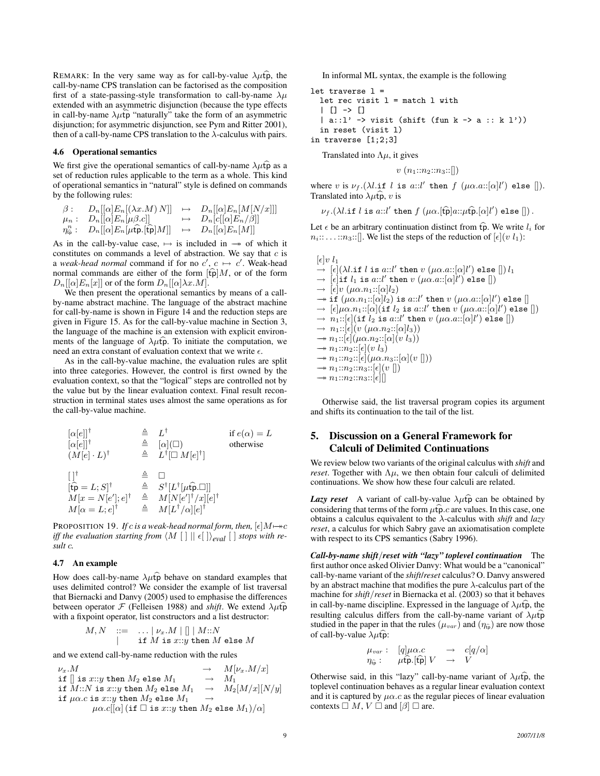REMARK: In the very same way as for call-by-value  $\lambda \mu \hat{\mathbf{p}}$ , the call-by-name CPS translation can be factorised as the composition first of a state-passing-style transformation to call-by-name  $\lambda \mu$ extended with an asymmetric disjunction (because the type effects in call-by-name  $\lambda \mu \hat{t} \hat{p}$  "naturally" take the form of an asymmetric disjunction; for asymmetric disjunction, see Pym and Ritter 2001), then of a call-by-name CPS translation to the  $\lambda$ -calculus with pairs.

## 4.6 Operational semantics

We first give the operational semantics of call-by-name  $\lambda \mu \hat{t} \hat{p}$  as a set of reduction rules applicable to the term as a whole. This kind of operational semantics in "natural" style is defined on commands by the following rules:

 $\beta: \quad D_n[[\alpha]E_n[(\lambda x.M) N]] \quad \mapsto \quad D_n[[\alpha]E_n[M[N/x]]]$  $\mu_n: \quad D_n[[\alpha]E_n[\mu\beta.c]] \qquad \qquad \mapsto \quad D_n[c[[\alpha]E_n/\beta]]$  $\eta_{\widehat{\mathfrak{p}}}^n: \quad D_n[[\alpha]E_n[\mu\widehat{\mathfrak{p}}_n[\widehat{\mathfrak{tpl}}]M]] \quad \mapsto \quad D_n[[\alpha]E_n[M]]$ 

As in the call-by-value case,  $\mapsto$  is included in  $\rightarrow$  of which it constitutes on commands a level of abstraction. We say that  $c$  is a *weak-head normal* command if for no  $c'$ ,  $c \mapsto c'$ . Weak-head normal commands are either of the form  $[\hat{tp}]M$ , or of the form  $D_n[[\alpha]E_n[x]]$  or of the form  $D_n[[\alpha]\lambda x.M]$ .

We then present the operational semantics by means of a callby-name abstract machine. The language of the abstract machine for call-by-name is shown in Figure 14 and the reduction steps are given in Figure 15. As for the call-by-value machine in Section 3, the language of the machine is an extension with explicit environments of the language of  $\lambda \hat{\mu}$  To initiate the computation, we need an extra constant of evaluation context that we write  $\epsilon$ .

As in the call-by-value machine, the evaluation rules are split into three categories. However, the control is first owned by the evaluation context, so that the "logical" steps are controlled not by the value but by the linear evaluation context. Final result reconstruction in terminal states uses almost the same operations as for the call-by-value machine.

$$
\begin{array}{llll}\n[\alpha[e]]^\dagger & \stackrel{\triangle}{=} & L^\dagger & \text{if } e(\alpha) = L \\
[\alpha[e]]^\dagger & \stackrel{\triangle}{=} & [\alpha](\Box) & \text{otherwise} \\
(M[e] \cdot L)^\dagger & \stackrel{\triangle}{=} & L^\dagger[\Box M[e]^\dagger] \\
\downarrow \quad & \downarrow \quad & \downarrow \quad & \downarrow \quad \\
[\downarrow \hat{\mathbf{p}} = L; S]^\dagger & \stackrel{\triangle}{=} & S^\dagger[L^\dagger[\mu \hat{\mathbf{p}} \cdot \Box]] \\
M[x = N[e']; e]^\dagger & \stackrel{\triangle}{=} & M[N[e']^\dagger/x][e]^\dagger \\
M[\alpha = L; e]^\dagger & \stackrel{\triangle}{=} & M[L^\dagger/\alpha][e]^\dagger\n\end{array}
$$

PROPOSITION 19. *If* c *is a weak-head normal form, then,*  $[\epsilon]M \rightarrow c$ *iff the evaluation starting from*  $\langle M [ ] | | \epsilon [ ] \rangle_{eval} [ ]$  *stops with result* c*.*

## 4.7 An example

How does call-by-name  $\lambda \mu \hat{t} \hat{p}$  behave on standard examples that uses delimited control? We consider the example of list traversal that Biernacki and Danvy (2005) used to emphasise the differences between operator  $\mathcal F$  (Felleisen 1988) and *shift*. We extend  $\lambda \mu \hat{t}$ with a fixpoint operator, list constructors and a list destructor:

$$
M, N \quad ::= \quad \ldots | \nu_x.M \mid [] \mid M::N
$$
\n
$$
| \quad \text{if } M \text{ is } x::y \text{ then } M \text{ else } M
$$

and we extend call-by-name reduction with the rules

 $\begin{array}{lcl} \nu_x.M & \longrightarrow & M[\nu_x.M/x]\\ \hbox{if $\mid$ is $x::y$ then $M_2$ else $M_1$} & \longrightarrow & M_1 \end{array}$  $\begin{array}{lcl} \texttt{if }[] \text{ is } x::y \text{ then } M_2 \text{ else } M_1 & \rightarrow & M_1 \\ \texttt{if } M::N \text{ is } x::y \text{ then } M_2 \text{ else } M_1 & \rightarrow & M_2[M/x][N/y] \end{array}$ if  $M::N$  is  $x::y$  then  $M_2$  else  $M_1 \longrightarrow$ if  $\mu\alpha.c$  is x::y then  $M_2$  else  $M_1 \longrightarrow$  $\mu\alpha.c[[\alpha]$  (if  $\square$  is  $x::y$  then  $M_2$  else  $M_1)/\alpha$ )

In informal ML syntax, the example is the following

```
let traverse l =
 let rec visit l = match l with
  | [] -> []
  | a::1' -> visit (shift (fun k -> a :: k 1'))
  in reset (visit l)
in traverse [1;2;3]
```
Translated into  $\Lambda \mu$ , it gives

 $v(n_1::n_2::n_3::[])$ 

where v is  $\nu_f.(\lambda l.$ if l is a:: $l'$  then  $f$   $(\mu \alpha.a::[\alpha]l')$  else []). Translated into  $\lambda \mu \hat{f}$ , v is

 $\nu_f.(\lambda l.$ if  $l$  is  $a::l'$  then  $f$   $(\mu\alpha.[\widehat{\mathfrak{tp}}]a::\mu\widehat{\mathfrak{tp}}.[\alpha]l')$  else  $[]$ ).

Let  $\epsilon$  be an arbitrary continuation distinct from  $\widehat{\mathfrak{tp}}$ . We write  $l_i$  for  $n_i: \ldots: n_3:$  [. We list the steps of the reduction of  $[\epsilon](v \ l_1):$ 

 $[\epsilon]v \, l_1$  $\rightarrow$   $[\epsilon](\lambda l.\texttt{if } l \texttt{ is } a::l' \texttt{ then } v~(\mu\alpha.a::[\alpha]l') \texttt{ else }[]) ~l_1$  $\rightarrow$  [ $\epsilon$ ]if  $l_1$  is a:: $l'$  then  $v$   $(\mu\alpha.a::[\alpha]l')$  else [])  $\rightarrow$  [ $\epsilon$ ]v ( $\mu \alpha.n_1$ ::[ $\alpha$ ] $l_2$ )  $\rightarrow$  if  $(\mu\alpha.n_1::[\alpha]l_2)$  is  $a::l'$  then  $v$   $(\mu\alpha.a::[\alpha]l')$  else  $[]$  $\rightarrow$   $[\epsilon] \mu \alpha.n_1::[\alpha] (\texttt{if } l_2 \texttt{ is } a::l' \texttt{ then } v \texttt{ } (\mu \alpha.a::[\alpha]l') \texttt{ else }[] )$  $\rightarrow$   $n_1::[\epsilon]($  if  $l_2$  is a:: $l'$  then  $v$   $(\mu\alpha.a::[\alpha]l')$  else  $[]$  $\rightarrow n_1: [\epsilon](v (\mu \alpha.n_2: [\alpha] l_3))$  $\rightarrow n_1::[\epsilon](\mu\alpha.n_2::[\alpha](v l_3))$  $\rightarrow n_1::n_2::[\epsilon](v l_3)$ 

```
\rightarrow n_1::n_2::[\epsilon](\mu\alpha.n_3::[\alpha](v\parallel))
```

```
\rightarrow n_1::n_2::n_3::[\epsilon](v\,\|)\rightarrow n_1::n_2::n_3::[\epsilon]]
```
Otherwise said, the list traversal program copies its argument and shifts its continuation to the tail of the list.

## 5. Discussion on a General Framework for Calculi of Delimited Continuations

We review below two variants of the original calculus with *shift* and *reset*. Together with  $\Lambda \mu$ , we then obtain four calculi of delimited continuations. We show how these four calculi are related.

*Lazy reset* A variant of call-by-value  $\lambda \mu \widehat{t}$  can be obtained by considering that terms of the form  $\mu \widehat{\mathbf{p}}$ .c are values. In this case, one obtains a calculus equivalent to the λ-calculus with *shift* and *lazy reset*, a calculus for which Sabry gave an axiomatisation complete with respect to its CPS semantics (Sabry 1996).

*Call-by-name shift*/*reset with "lazy" toplevel continuation* The first author once asked Olivier Danvy: What would be a "canonical" call-by-name variant of the *shift*/*reset* calculus? O. Danvy answered by an abstract machine that modifies the pure  $\lambda$ -calculus part of the machine for *shift*/*reset* in Biernacka et al. (2003) so that it behaves in call-by-name discipline. Expressed in the language of  $\lambda \mu \hat{t}$ , the resulting calculus differs from the call-by-name variant of  $\lambda \mu \hat{t} \hat{p}$ studied in the paper in that the rules  $(\mu_{var})$  and  $(\eta_{\hat{t}})$  are now those of call-by-value  $\lambda \mu \hat{\mathbf{p}}$ :

$$
\mu_{var}: \quad [q] \mu \alpha.c \quad \rightarrow \quad c[q/\alpha]
$$
  

$$
\eta_{\widehat{\mathfrak{p}}} : \quad \mu \widehat{\mathfrak{tp}}.[\widehat{\mathfrak{tp}}] \ V \quad \rightarrow \quad V
$$

Otherwise said, in this "lazy" call-by-name variant of  $\lambda \mu \hat{\mathbf{p}}$ , the toplevel continuation behaves as a regular linear evaluation context and it is captured by  $\mu\alpha$ .c as the regular pieces of linear evaluation contexts  $\Box M, V \Box$  and  $[\beta] \Box$  are.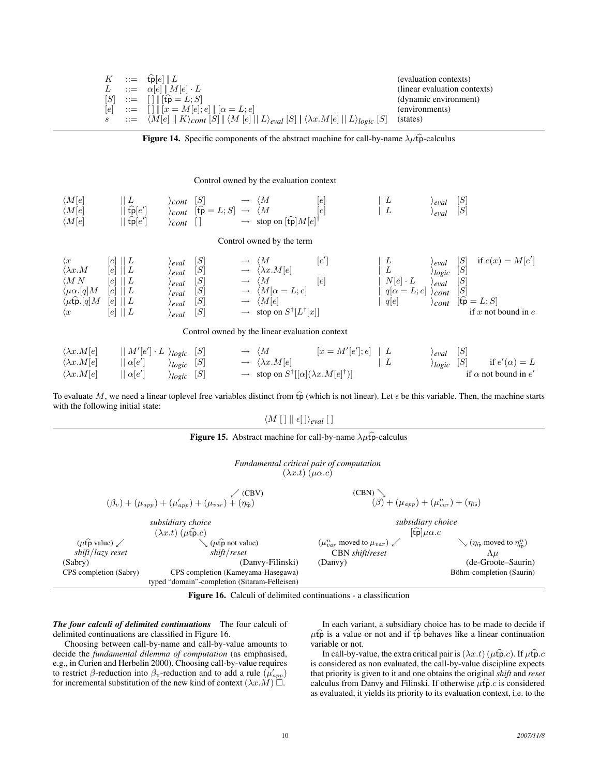$$
K ::=\begin{array}{c}\n\widehat{\mathbf{p}}[e] | L\n\end{array}
$$
\n
$$
L ::=\begin{array}{c}\n\alpha[e] | M[e] \cdot L\n\end{array}
$$
\n
$$
[S] ::=\begin{array}{c}\n[ \ ] | \ [\hat{\mathbf{p}} = L; S]\n\end{array}
$$
\n
$$
[S] ::=\begin{array}{c}\n[ \ ] | \ [\hat{\mathbf{p}} = L; S]\n\end{array}
$$
\n
$$
s ::=\begin{array}{c}\n\langle M[e] | K \rangle_{cont} [S] | \langle M[e] | L \rangle_{eval} [S] | \langle \lambda x. M[e] | L \rangle_{logic} [S] \quad \text{(states)}
$$
\n
$$
[S] \quad \text{(states)}
$$

Figure 14. Specific components of the abstract machine for call-by-name  $\lambda \mu \hat{t}$  -calculus

#### Control owned by the evaluation context

| $\langle M[e]$ | ┸                           | cont  | 101                                            |                   | lel<br>M                                  | ┸ | 'eval  | ا SI |
|----------------|-----------------------------|-------|------------------------------------------------|-------------------|-------------------------------------------|---|--------|------|
| $\langle M[e]$ | $  \hat{tp} e'$             | /cont | $[\mathfrak{tp} = L; S] \rightarrow \langle M$ |                   | lel                                       | ┸ | ' eval | [S]  |
| $\langle M[e]$ | $\widehat{\mathsf{tp}}[e']$ | cont  |                                                | $\longrightarrow$ | stop on $[\hat{\text{tp}}]M[e]^{\dagger}$ |   |        |      |

## Control owned by the term

 $\langle x \t[e] || L \rangle$  *eval*  $[S] \rightarrow \langle M \t[e] \rangle$  [e  $\lbrack e' \rbrack$  $\parallel L \qquad \qquad \rangle_{eval} \quad [S] \quad \text{if } e(x) = M[e']$  $\langle \lambda x.M \quad [e] \parallel L \qquad \rangle_{eval} \quad [S] \qquad \rightarrow \langle \lambda x.M[e] \qquad \qquad \parallel L \qquad \rangle_{logic} \quad [S]$  $\langle MN \quad [e] \parallel L \qquad \rangle_{eval} \quad [S] \qquad \rightarrow \langle M \quad [e] \qquad [N[e] \cdot L \quad \rangle_{eval} \quad [S]$  $\langle \mu \alpha . [q] M \quad [e] \parallel L \rangle_{eval} \quad [S] \longrightarrow \langle M[\alpha = L; e] \rangle_{coll} \quad [q[\alpha = L; e] \rangle_{cont} \quad [S] \langle \mu \hat{\mathbf{p}} . [q] M \quad [e] \parallel L \rangle_{eval} \quad [S] \longrightarrow \langle M[e] \rangle_{coll} \quad [q[e] \rangle_{cont} \quad [ \hat{\mathbf{p}} = L; S]$  $\langle \mu \hat{\mathbf{p}} \cdot \hat{[q]} M \quad [e] \parallel L \qquad \qquad \rangle_{eval} \quad [S] \qquad \rightarrow \langle M[e] \qquad \qquad \parallel \hat{q}[e] \qquad \qquad \rangle_{cont} \quad [t\hat{\mathbf{p}} = L; S]$  $\langle x \quad [e] \ || L \quad \rangle_{eval} \quad [S] \quad \rightarrow \text{ stop on } S^{\dagger} [L^{\dagger}]$ if  $x$  not bound in  $e$ 

Control owned by the linear evaluation context

| $\langle \lambda x.M[e]$ |               | $\ M'[e'] \cdot L \rangle_{logic}$ [S] | $\rightarrow \langle M$                                                 | $[x = M'[e']; e]    L$ | $\rangle_{eval}$ [S]  |                             |
|--------------------------|---------------|----------------------------------------|-------------------------------------------------------------------------|------------------------|-----------------------|-----------------------------|
| $\langle \lambda x.M[e]$ | $ \alpha e' $ | $\rangle_{logic}$ [S]                  | $\rightarrow \langle \lambda x.M[e]$                                    |                        | $\rangle_{logic}$ [S] | if $e'(\alpha) = L$         |
| $\langle \lambda x.M[e]$ | $\alpha[e']$  | $\rangle_{logic}$ [S]                  | $\rightarrow$ stop on $S^{\dagger}[[\alpha](\lambda x.M[e]^{\dagger})]$ |                        |                       | if $\alpha$ not bound in e' |

To evaluate M, we need a linear toplevel free variables distinct from  $\widehat{tp}$  (which is not linear). Let  $\epsilon$  be this variable. Then, the machine starts with the following initial state:

## $\langle M [ ] || \epsilon [ ] \rangle_{eval} [ ]$

|                                          | <b>Figure 15.</b> Abstract machine for call-by-name $\lambda \mu \hat{p}$ -calculus          |                                                                           |                                                                           |  |
|------------------------------------------|----------------------------------------------------------------------------------------------|---------------------------------------------------------------------------|---------------------------------------------------------------------------|--|
|                                          | Fundamental critical pair of computation<br>$(\lambda x.t)(\mu \alpha.c)$                    |                                                                           |                                                                           |  |
|                                          | $\angle$ (CBV)                                                                               | (CBN)                                                                     |                                                                           |  |
|                                          | $(\beta_v) + (\mu_{app}) + (\mu'_{app}) + (\mu_{var}) + (\eta_{\widehat{p}})$                | $(\beta) + (\mu_{app}) + (\mu_{var}^n) + (\eta_{\widehat{\mathfrak{w}}})$ |                                                                           |  |
|                                          | subsidiary choice                                                                            | subsidiary choice                                                         |                                                                           |  |
|                                          | $(\lambda x.t)$ $(\mu \hat{\mathfrak{p}}.c)$<br>$\vee$ $(\mu \hat{\mathfrak{p}})$ not value) |                                                                           | $[\hat{\text{tp}}]\mu\alpha.c$                                            |  |
| $(\mu \hat{t} \hat{p}$ value) $\swarrow$ |                                                                                              | $(\mu_{var}^n \text{ moved to } \mu_{var}) \swarrow$                      | $\searrow$ ( $\eta_{\hat{t}\hat{p}}$ moved to $\eta_{\hat{t}\hat{p}}^n$ ) |  |
| shift/lazy reset                         | shift/reset                                                                                  | CBN shift/reset                                                           | $\Lambda \mu$                                                             |  |
| (Sabry)                                  | (Danvy-Filinski)                                                                             | (Danvy)                                                                   | (de-Groote–Saurin)                                                        |  |
| CPS completion (Sabry)                   | CPS completion (Kameyama-Hasegawa)                                                           |                                                                           | Böhm-completion (Saurin)                                                  |  |
|                                          | typed "domain"-completion (Sitaram-Felleisen)                                                |                                                                           |                                                                           |  |



*The four calculi of delimited continuations* The four calculi of delimited continuations are classified in Figure 16.

Choosing between call-by-name and call-by-value amounts to decide the *fundamental dilemma of computation* (as emphasised, e.g., in Curien and Herbelin 2000). Choosing call-by-value requires to restrict  $\beta$ -reduction into  $\beta_v$ -reduction and to add a rule  $(\mu'_{app})$ for incremental substitution of the new kind of context  $(\lambda x.M) \square$ .

In each variant, a subsidiary choice has to be made to decide if  $\mu \hat{t}$  is a value or not and if  $\hat{t}$  behaves like a linear continuation variable or not.

In call-by-value, the extra critical pair is  $(\lambda x.t)$  ( $\mu$ fp.c). If  $\mu$ fp.c is considered as non evaluated, the call-by-value discipline expects that priority is given to it and one obtains the original *shift* and *reset* calculus from Danvy and Filinski. If otherwise  $\mu \widehat{\mathbf{p}}$  *c* is considered as evaluated, it yields its priority to its evaluation context, i.e. to the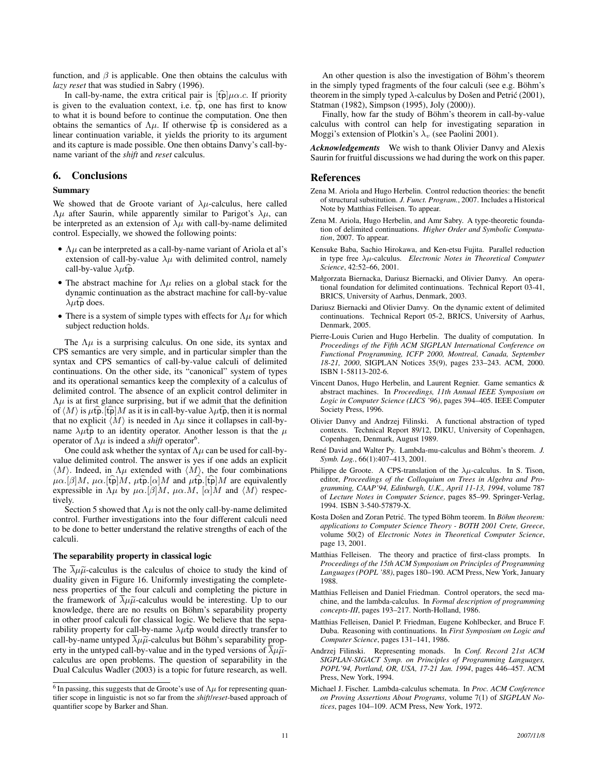function, and  $\beta$  is applicable. One then obtains the calculus with *lazy reset* that was studied in Sabry (1996).

In call-by-name, the extra critical pair is  $[\hat{t} \hat{p}] \mu \alpha.c$ . If priority is given to the evaluation context, i.e.  $\widehat{tp}$ , one has first to know to what it is bound before to continue the computation. One then obtains the semantics of  $\Lambda \mu$ . If otherwise  $\widehat{tp}$  is considered as a linear continuation variable, it yields the priority to its argument and its capture is made possible. One then obtains Danvy's call-byname variant of the *shift* and *reset* calculus.

## 6. Conclusions

### Summary

We showed that de Groote variant of  $\lambda \mu$ -calculus, here called  $Λμ$  after Saurin, while apparently similar to Parigot's  $λμ$ , can be interpreted as an extension of  $\lambda \mu$  with call-by-name delimited control. Especially, we showed the following points:

- $\Lambda \mu$  can be interpreted as a call-by-name variant of Ariola et al's extension of call-by-value  $\lambda \mu$  with delimited control, namely call-by-value  $\lambda \mu \hat{\mathbf{p}}$ .
- The abstract machine for  $\Lambda \mu$  relies on a global stack for the dynamic continuation as the abstract machine for call-by-value  $\lambda \mu \hat{t}$  does.
- There is a system of simple types with effects for  $\Lambda \mu$  for which subject reduction holds.

The  $\Lambda \mu$  is a surprising calculus. On one side, its syntax and CPS semantics are very simple, and in particular simpler than the syntax and CPS semantics of call-by-value calculi of delimited continuations. On the other side, its "canonical" system of types and its operational semantics keep the complexity of a calculus of delimited control. The absence of an explicit control delimiter in  $\Lambda$  $\mu$  is at first glance surprising, but if we admit that the definition of  $\langle M \rangle$  is  $\mu$ tp. [tp] M as it is in call-by-value  $\lambda \mu$ tp, then it is normal that no explicit  $\langle M \rangle$  is needed in  $\Lambda \mu$  since it collapses in call-byname  $\lambda \mu \hat{t} \hat{p}$  to an identity operator. Another lesson is that the  $\mu$ operator of  $\Lambda \mu$  is indeed a *shift* operator<sup>6</sup>.

One could ask whether the syntax of  $\Lambda \mu$  can be used for call-byvalue delimited control. The answer is yes if one adds an explicit  $\langle M \rangle$ . Indeed, in  $\Lambda \mu$  extended with  $\langle M \rangle$ , the four combinations  $\mu\alpha$ .[β]M,  $\mu\alpha$ .[tp]M,  $\mu$ tp.[ $\alpha$ ]M and  $\mu$ tp.[tp]M are equivalently expressible in  $\Lambda \mu$  by  $\mu \alpha$ .  $\beta$  M,  $\mu \alpha$ .  $M$ ,  $\alpha$  M and  $\langle M \rangle$  respectively.

Section 5 showed that  $\Lambda \mu$  is not the only call-by-name delimited control. Further investigations into the four different calculi need to be done to better understand the relative strengths of each of the calculi.

#### The separability property in classical logic

The  $\overline{\lambda}\mu\tilde{\mu}$ -calculus is the calculus of choice to study the kind of duality given in Figure 16. Uniformly investigating the completeness properties of the four calculi and completing the picture in the framework of  $\lambda \mu \tilde{\mu}$ -calculus would be interesting. Up to our knowledge, there are no results on Böhm's separability property in other proof calculi for classical logic. We believe that the separability property for call-by-name  $\lambda \mu \hat{t} \hat{p}$  would directly transfer to call-by-name untyped  $\lambda \mu \tilde{\mu}$ -calculus but Böhm's separability property in the untyped call-by-value and in the typed versions of  $\overline{\lambda}\mu\tilde{\mu}$ calculus are open problems. The question of separability in the Dual Calculus Wadler (2003) is a topic for future research, as well.

An other question is also the investigation of Böhm's theorem in the simply typed fragments of the four calculi (see e.g. Böhm's theorem in the simply typed  $\lambda$ -calculus by Došen and Petrić (2001), Statman (1982), Simpson (1995), Joly (2000)).

Finally, how far the study of Böhm's theorem in call-by-value calculus with control can help for investigating separation in Moggi's extension of Plotkin's  $\lambda_v$  (see Paolini 2001).

*Acknowledgements* We wish to thank Olivier Danvy and Alexis Saurin for fruitful discussions we had during the work on this paper.

## References

- Zena M. Ariola and Hugo Herbelin. Control reduction theories: the benefit of structural substitution. *J. Funct. Program.*, 2007. Includes a Historical Note by Matthias Felleisen. To appear.
- Zena M. Ariola, Hugo Herbelin, and Amr Sabry. A type-theoretic foundation of delimited continuations. *Higher Order and Symbolic Computation*, 2007. To appear.
- Kensuke Baba, Sachio Hirokawa, and Ken-etsu Fujita. Parallel reduction in type free λµ-calculus. *Electronic Notes in Theoretical Computer Science*, 42:52–66, 2001.
- Małgorzata Biernacka, Dariusz Biernacki, and Olivier Danvy. An operational foundation for delimited continuations. Technical Report 03-41, BRICS, University of Aarhus, Denmark, 2003.
- Dariusz Biernacki and Olivier Danvy. On the dynamic extent of delimited continuations. Technical Report 05-2, BRICS, University of Aarhus, Denmark, 2005.
- Pierre-Louis Curien and Hugo Herbelin. The duality of computation. In *Proceedings of the Fifth ACM SIGPLAN International Conference on Functional Programming, ICFP 2000, Montreal, Canada, September 18-21, 2000*, SIGPLAN Notices 35(9), pages 233–243. ACM, 2000. ISBN 1-58113-202-6.
- Vincent Danos, Hugo Herbelin, and Laurent Regnier. Game semantics & abstract machines. In *Proceedings, 11th Annual IEEE Symposium on Logic in Computer Science (LICS '96)*, pages 394–405. IEEE Computer Society Press, 1996.
- Olivier Danvy and Andrzej Filinski. A functional abstraction of typed contexts. Technical Report 89/12, DIKU, University of Copenhagen, Copenhagen, Denmark, August 1989.
- René David and Walter Py. Lambda-mu-calculus and Böhm's theorem. J. *Symb. Log.*, 66(1):407–413, 2001.
- Philippe de Groote. A CPS-translation of the  $\lambda \mu$ -calculus. In S. Tison, editor, *Proceedings of the Colloquium on Trees in Algebra and Programming, CAAP'94, Edinburgh, U.K., April 11-13, 1994*, volume 787 of *Lecture Notes in Computer Science*, pages 85–99. Springer-Verlag, 1994. ISBN 3-540-57879-X.
- Kosta Došen and Zoran Petrić. The typed Böhm teorem. In Böhm theorem: *applications to Computer Science Theory - BOTH 2001 Crete, Greece*, volume 50(2) of *Electronic Notes in Theoretical Computer Science*, page 13, 2001.
- Matthias Felleisen. The theory and practice of first-class prompts. In *Proceedings of the 15th ACM Symposium on Principles of Programming Languages (POPL '88)*, pages 180–190. ACM Press, New York, January 1988.
- Matthias Felleisen and Daniel Friedman. Control operators, the secd machine, and the lambda-calculus. In *Formal description of programming concepts-III*, pages 193–217. North-Holland, 1986.
- Matthias Felleisen, Daniel P. Friedman, Eugene Kohlbecker, and Bruce F. Duba. Reasoning with continuations. In *First Symposium on Logic and Computer Science*, pages 131–141, 1986.
- Andrzej Filinski. Representing monads. In *Conf. Record 21st ACM SIGPLAN-SIGACT Symp. on Principles of Programming Languages, POPL'94, Portland, OR, USA, 17-21 Jan. 1994*, pages 446–457. ACM Press, New York, 1994.
- Michael J. Fischer. Lambda-calculus schemata. In *Proc. ACM Conference on Proving Assertions About Programs*, volume 7(1) of *SIGPLAN Notices*, pages 104–109. ACM Press, New York, 1972.

<sup>&</sup>lt;sup>6</sup> In passing, this suggests that de Groote's use of  $\Lambda \mu$  for representing quantifier scope in linguistic is not so far from the *shift*/*reset*-based approach of quantifier scope by Barker and Shan.